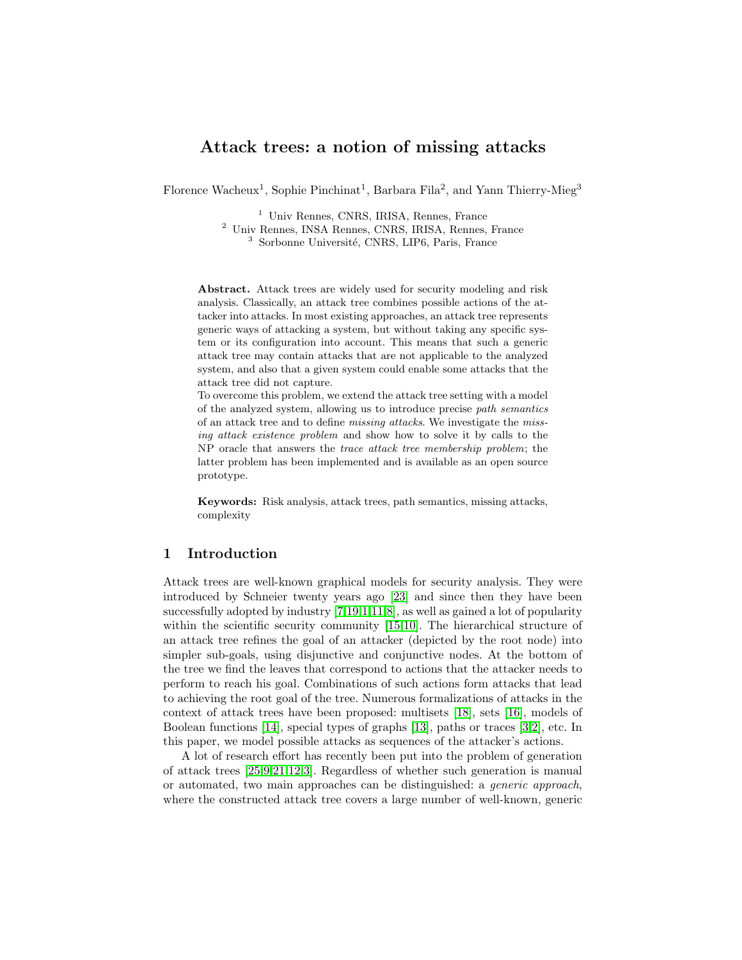# Attack trees: a notion of missing attacks

Florence Wacheux<sup>1</sup>, Sophie Pinchinat<sup>1</sup>, Barbara Fila<sup>2</sup>, and Yann Thierry-Mieg<sup>3</sup>

<sup>1</sup> Univ Rennes, CNRS, IRISA, Rennes, France

<sup>2</sup> Univ Rennes, INSA Rennes, CNRS, IRISA, Rennes, France

<sup>3</sup> Sorbonne Université, CNRS, LIP6, Paris, France

Abstract. Attack trees are widely used for security modeling and risk analysis. Classically, an attack tree combines possible actions of the attacker into attacks. In most existing approaches, an attack tree represents generic ways of attacking a system, but without taking any specific system or its configuration into account. This means that such a generic attack tree may contain attacks that are not applicable to the analyzed system, and also that a given system could enable some attacks that the attack tree did not capture.

To overcome this problem, we extend the attack tree setting with a model of the analyzed system, allowing us to introduce precise path semantics of an attack tree and to define missing attacks. We investigate the missing attack existence problem and show how to solve it by calls to the NP oracle that answers the trace attack tree membership problem; the latter problem has been implemented and is available as an open source prototype.

Keywords: Risk analysis, attack trees, path semantics, missing attacks, complexity

# 1 Introduction

Attack trees are well-known graphical models for security analysis. They were introduced by Schneier twenty years ago [\[23\]](#page-26-0) and since then they have been successfully adopted by industry [\[7,](#page-25-0)[19,](#page-25-1)[1,](#page-24-0)[11](#page-25-2)[,8\]](#page-25-3), as well as gained a lot of popularity within the scientific security community  $[15,10]$  $[15,10]$ . The hierarchical structure of an attack tree refines the goal of an attacker (depicted by the root node) into simpler sub-goals, using disjunctive and conjunctive nodes. At the bottom of the tree we find the leaves that correspond to actions that the attacker needs to perform to reach his goal. Combinations of such actions form attacks that lead to achieving the root goal of the tree. Numerous formalizations of attacks in the context of attack trees have been proposed: multisets [\[18\]](#page-25-6), sets [\[16\]](#page-25-7), models of Boolean functions [\[14\]](#page-25-8), special types of graphs [\[13\]](#page-25-9), paths or traces [\[3,](#page-24-1)[2\]](#page-24-2), etc. In this paper, we model possible attacks as sequences of the attacker's actions.

A lot of research effort has recently been put into the problem of generation of attack trees [\[25,](#page-26-1)[9,](#page-25-10)[21](#page-26-2)[,12,](#page-25-11)[3\]](#page-24-1). Regardless of whether such generation is manual or automated, two main approaches can be distinguished: a generic approach, where the constructed attack tree covers a large number of well-known, generic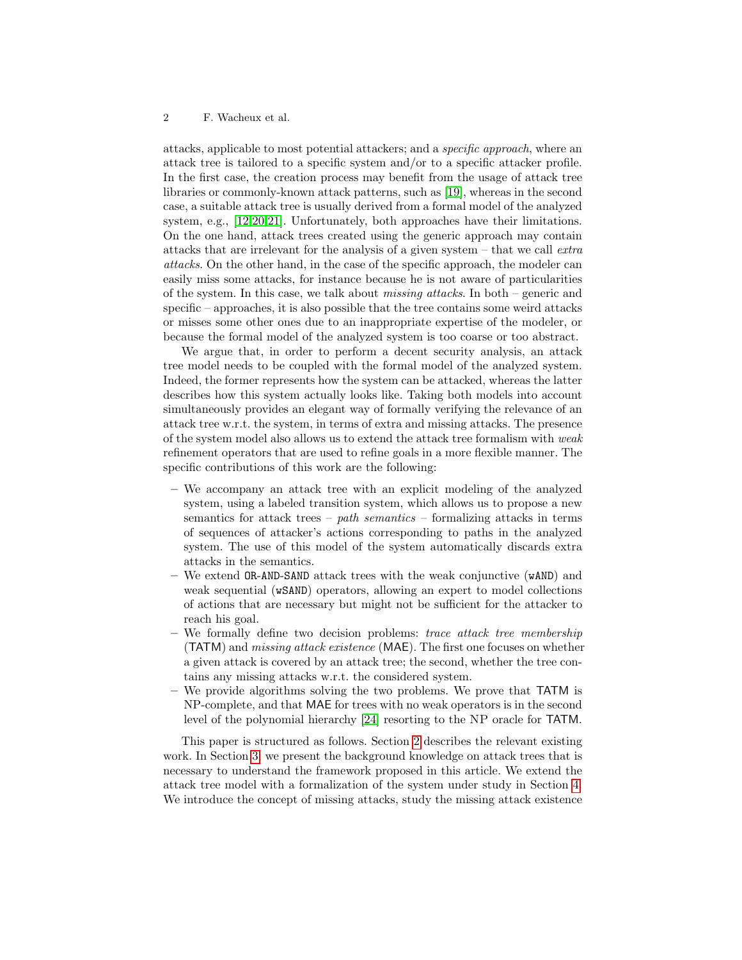attacks, applicable to most potential attackers; and a specific approach, where an attack tree is tailored to a specific system and/or to a specific attacker profile. In the first case, the creation process may benefit from the usage of attack tree libraries or commonly-known attack patterns, such as [\[19\]](#page-25-1), whereas in the second case, a suitable attack tree is usually derived from a formal model of the analyzed system, e.g., [\[12](#page-25-11)[,20](#page-25-12)[,21\]](#page-26-2). Unfortunately, both approaches have their limitations. On the one hand, attack trees created using the generic approach may contain attacks that are irrelevant for the analysis of a given system – that we call extra attacks. On the other hand, in the case of the specific approach, the modeler can easily miss some attacks, for instance because he is not aware of particularities of the system. In this case, we talk about missing attacks. In both – generic and specific – approaches, it is also possible that the tree contains some weird attacks or misses some other ones due to an inappropriate expertise of the modeler, or because the formal model of the analyzed system is too coarse or too abstract.

We argue that, in order to perform a decent security analysis, an attack tree model needs to be coupled with the formal model of the analyzed system. Indeed, the former represents how the system can be attacked, whereas the latter describes how this system actually looks like. Taking both models into account simultaneously provides an elegant way of formally verifying the relevance of an attack tree w.r.t. the system, in terms of extra and missing attacks. The presence of the system model also allows us to extend the attack tree formalism with weak refinement operators that are used to refine goals in a more flexible manner. The specific contributions of this work are the following:

- We accompany an attack tree with an explicit modeling of the analyzed system, using a labeled transition system, which allows us to propose a new semantics for attack trees – *path semantics* – formalizing attacks in terms of sequences of attacker's actions corresponding to paths in the analyzed system. The use of this model of the system automatically discards extra attacks in the semantics.
- We extend **OR-AND-SAND** attack trees with the weak conjunctive (wAND) and weak sequential (wSAND) operators, allowing an expert to model collections of actions that are necessary but might not be sufficient for the attacker to reach his goal.
- We formally define two decision problems: trace attack tree membership (TATM) and missing attack existence (MAE). The first one focuses on whether a given attack is covered by an attack tree; the second, whether the tree contains any missing attacks w.r.t. the considered system.
- We provide algorithms solving the two problems. We prove that TATM is NP-complete, and that MAE for trees with no weak operators is in the second level of the polynomial hierarchy [\[24\]](#page-26-3) resorting to the NP oracle for TATM.

This paper is structured as follows. Section [2](#page-2-0) describes the relevant existing work. In Section [3,](#page-4-0) we present the background knowledge on attack trees that is necessary to understand the framework proposed in this article. We extend the attack tree model with a formalization of the system under study in Section [4.](#page-6-0) We introduce the concept of missing attacks, study the missing attack existence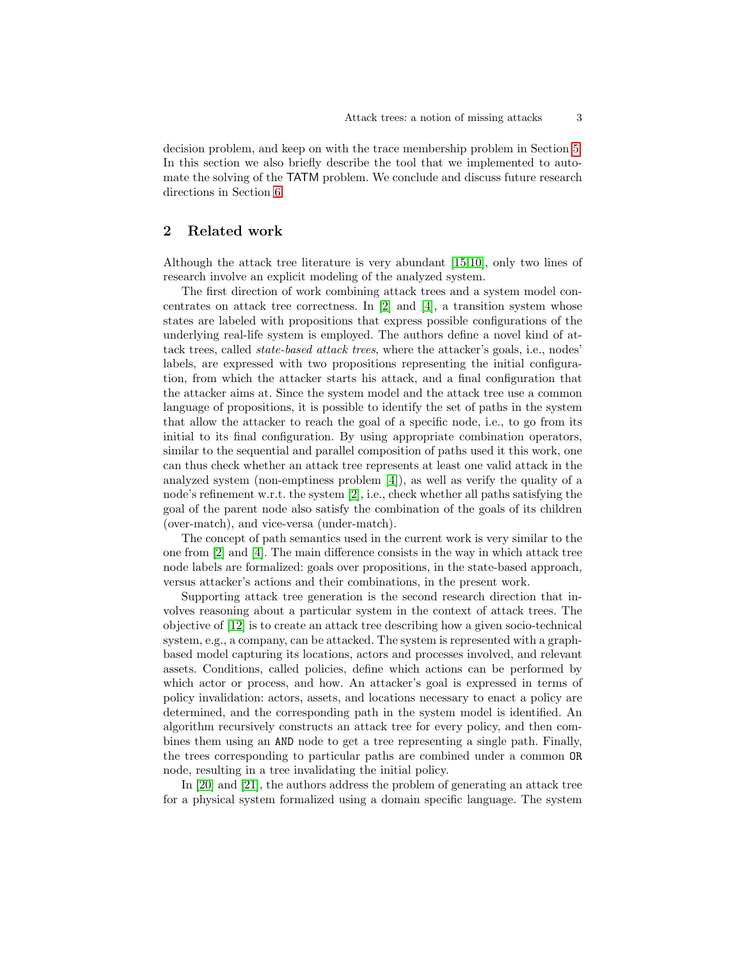decision problem, and keep on with the trace membership problem in Section [5.](#page-13-0) In this section we also briefly describe the tool that we implemented to automate the solving of the TATM problem. We conclude and discuss future research directions in Section [6.](#page-23-0)

# <span id="page-2-0"></span>2 Related work

Although the attack tree literature is very abundant [\[15,](#page-25-4)[10\]](#page-25-5), only two lines of research involve an explicit modeling of the analyzed system.

The first direction of work combining attack trees and a system model concentrates on attack tree correctness. In [\[2\]](#page-24-2) and [\[4\]](#page-25-13), a transition system whose states are labeled with propositions that express possible configurations of the underlying real-life system is employed. The authors define a novel kind of attack trees, called state-based attack trees, where the attacker's goals, i.e., nodes' labels, are expressed with two propositions representing the initial configuration, from which the attacker starts his attack, and a final configuration that the attacker aims at. Since the system model and the attack tree use a common language of propositions, it is possible to identify the set of paths in the system that allow the attacker to reach the goal of a specific node, i.e., to go from its initial to its final configuration. By using appropriate combination operators, similar to the sequential and parallel composition of paths used it this work, one can thus check whether an attack tree represents at least one valid attack in the analyzed system (non-emptiness problem [\[4\]](#page-25-13)), as well as verify the quality of a node's refinement w.r.t. the system [\[2\]](#page-24-2), i.e., check whether all paths satisfying the goal of the parent node also satisfy the combination of the goals of its children (over-match), and vice-versa (under-match).

The concept of path semantics used in the current work is very similar to the one from [\[2\]](#page-24-2) and [\[4\]](#page-25-13). The main difference consists in the way in which attack tree node labels are formalized: goals over propositions, in the state-based approach, versus attacker's actions and their combinations, in the present work.

Supporting attack tree generation is the second research direction that involves reasoning about a particular system in the context of attack trees. The objective of [\[12\]](#page-25-11) is to create an attack tree describing how a given socio-technical system, e.g., a company, can be attacked. The system is represented with a graphbased model capturing its locations, actors and processes involved, and relevant assets. Conditions, called policies, define which actions can be performed by which actor or process, and how. An attacker's goal is expressed in terms of policy invalidation: actors, assets, and locations necessary to enact a policy are determined, and the corresponding path in the system model is identified. An algorithm recursively constructs an attack tree for every policy, and then combines them using an AND node to get a tree representing a single path. Finally, the trees corresponding to particular paths are combined under a common OR node, resulting in a tree invalidating the initial policy.

In [\[20\]](#page-25-12) and [\[21\]](#page-26-2), the authors address the problem of generating an attack tree for a physical system formalized using a domain specific language. The system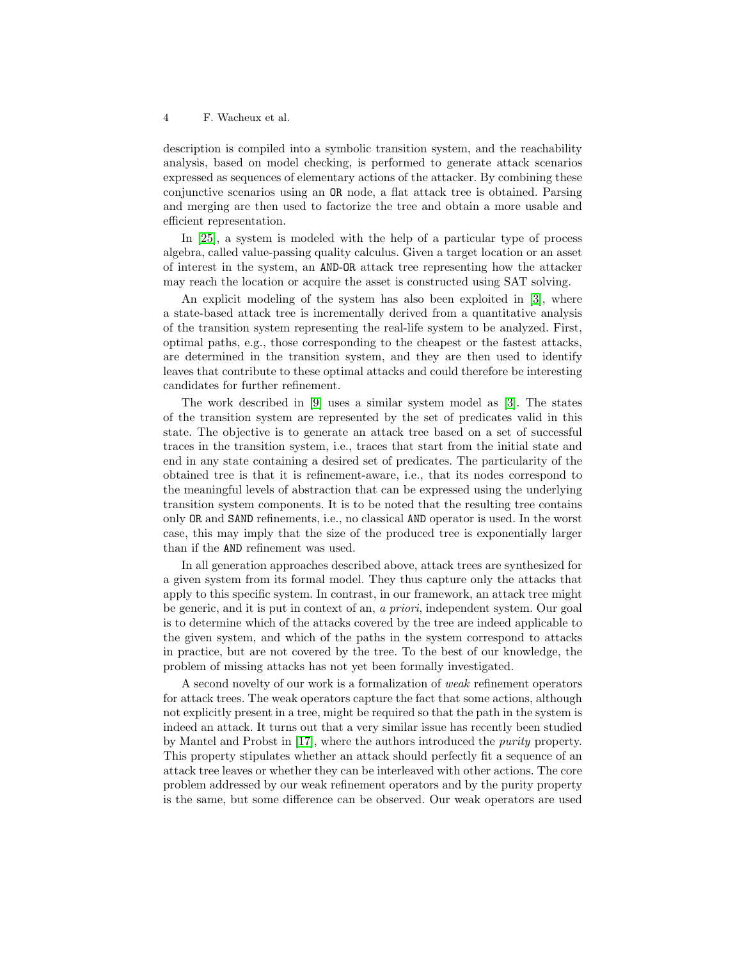description is compiled into a symbolic transition system, and the reachability analysis, based on model checking, is performed to generate attack scenarios expressed as sequences of elementary actions of the attacker. By combining these conjunctive scenarios using an OR node, a flat attack tree is obtained. Parsing and merging are then used to factorize the tree and obtain a more usable and efficient representation.

In [\[25\]](#page-26-1), a system is modeled with the help of a particular type of process algebra, called value-passing quality calculus. Given a target location or an asset of interest in the system, an AND-OR attack tree representing how the attacker may reach the location or acquire the asset is constructed using SAT solving.

An explicit modeling of the system has also been exploited in [\[3\]](#page-24-1), where a state-based attack tree is incrementally derived from a quantitative analysis of the transition system representing the real-life system to be analyzed. First, optimal paths, e.g., those corresponding to the cheapest or the fastest attacks, are determined in the transition system, and they are then used to identify leaves that contribute to these optimal attacks and could therefore be interesting candidates for further refinement.

The work described in [\[9\]](#page-25-10) uses a similar system model as [\[3\]](#page-24-1). The states of the transition system are represented by the set of predicates valid in this state. The objective is to generate an attack tree based on a set of successful traces in the transition system, i.e., traces that start from the initial state and end in any state containing a desired set of predicates. The particularity of the obtained tree is that it is refinement-aware, i.e., that its nodes correspond to the meaningful levels of abstraction that can be expressed using the underlying transition system components. It is to be noted that the resulting tree contains only OR and SAND refinements, i.e., no classical AND operator is used. In the worst case, this may imply that the size of the produced tree is exponentially larger than if the AND refinement was used.

In all generation approaches described above, attack trees are synthesized for a given system from its formal model. They thus capture only the attacks that apply to this specific system. In contrast, in our framework, an attack tree might be generic, and it is put in context of an, a priori, independent system. Our goal is to determine which of the attacks covered by the tree are indeed applicable to the given system, and which of the paths in the system correspond to attacks in practice, but are not covered by the tree. To the best of our knowledge, the problem of missing attacks has not yet been formally investigated.

A second novelty of our work is a formalization of weak refinement operators for attack trees. The weak operators capture the fact that some actions, although not explicitly present in a tree, might be required so that the path in the system is indeed an attack. It turns out that a very similar issue has recently been studied by Mantel and Probst in [\[17\]](#page-25-14), where the authors introduced the purity property. This property stipulates whether an attack should perfectly fit a sequence of an attack tree leaves or whether they can be interleaved with other actions. The core problem addressed by our weak refinement operators and by the purity property is the same, but some difference can be observed. Our weak operators are used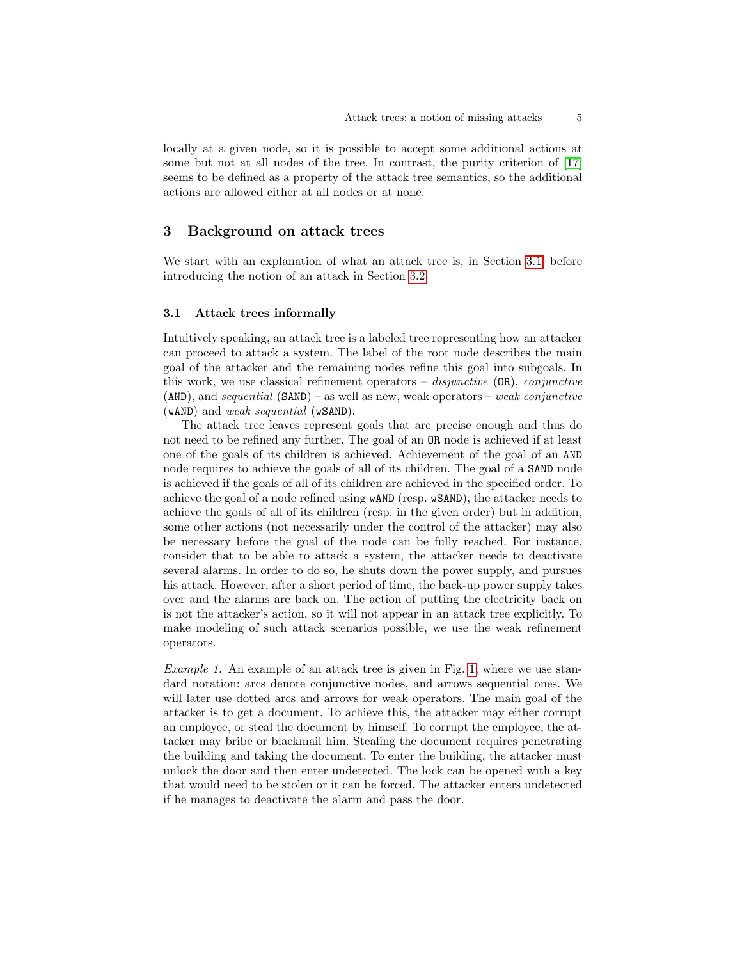locally at a given node, so it is possible to accept some additional actions at some but not at all nodes of the tree. In contrast, the purity criterion of [\[17\]](#page-25-14) seems to be defined as a property of the attack tree semantics, so the additional actions are allowed either at all nodes or at none.

# <span id="page-4-0"></span>3 Background on attack trees

We start with an explanation of what an attack tree is, in Section [3.1,](#page-4-1) before introducing the notion of an attack in Section [3.2.](#page-5-0)

### <span id="page-4-1"></span>3.1 Attack trees informally

Intuitively speaking, an attack tree is a labeled tree representing how an attacker can proceed to attack a system. The label of the root node describes the main goal of the attacker and the remaining nodes refine this goal into subgoals. In this work, we use classical refinement operators – disjunctive  $(OR)$ , conjunctive (AND), and sequential  $(SAND)$  – as well as new, weak operators – weak conjunctive  $(wAND)$  and *weak sequential*  $(wSAND)$ .

The attack tree leaves represent goals that are precise enough and thus do not need to be refined any further. The goal of an OR node is achieved if at least one of the goals of its children is achieved. Achievement of the goal of an AND node requires to achieve the goals of all of its children. The goal of a SAND node is achieved if the goals of all of its children are achieved in the specified order. To achieve the goal of a node refined using wAND (resp. wSAND), the attacker needs to achieve the goals of all of its children (resp. in the given order) but in addition, some other actions (not necessarily under the control of the attacker) may also be necessary before the goal of the node can be fully reached. For instance, consider that to be able to attack a system, the attacker needs to deactivate several alarms. In order to do so, he shuts down the power supply, and pursues his attack. However, after a short period of time, the back-up power supply takes over and the alarms are back on. The action of putting the electricity back on is not the attacker's action, so it will not appear in an attack tree explicitly. To make modeling of such attack scenarios possible, we use the weak refinement operators.

Example 1. An example of an attack tree is given in Fig. [1,](#page-5-1) where we use standard notation: arcs denote conjunctive nodes, and arrows sequential ones. We will later use dotted arcs and arrows for weak operators. The main goal of the attacker is to get a document. To achieve this, the attacker may either corrupt an employee, or steal the document by himself. To corrupt the employee, the attacker may bribe or blackmail him. Stealing the document requires penetrating the building and taking the document. To enter the building, the attacker must unlock the door and then enter undetected. The lock can be opened with a key that would need to be stolen or it can be forced. The attacker enters undetected if he manages to deactivate the alarm and pass the door.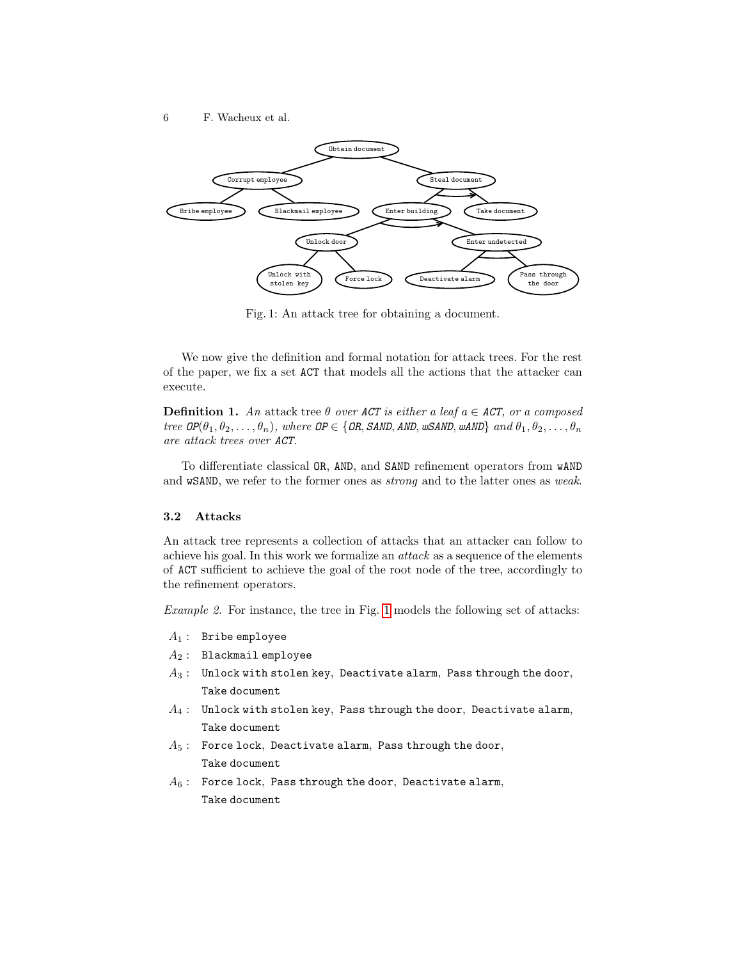<span id="page-5-1"></span>

Fig. 1: An attack tree for obtaining a document.

We now give the definition and formal notation for attack trees. For the rest of the paper, we fix a set ACT that models all the actions that the attacker can execute.

<span id="page-5-2"></span>**Definition 1.** An attack tree  $\theta$  over ACT is either a leaf  $a \in$  ACT, or a composed tree  $\mathsf{OP}(\theta_1, \theta_2, \dots, \theta_n)$ , where  $\mathsf{OP} \in \{\mathsf{OR}, \mathsf{SAND}, \mathsf{AND}, \mathsf{WSSAND}, \mathsf{wAND}\}$  and  $\theta_1, \theta_2, \dots, \theta_n$ are attack trees over ACT.

To differentiate classical OR, AND, and SAND refinement operators from wAND and **wSAND**, we refer to the former ones as *strong* and to the latter ones as *weak*.

### <span id="page-5-0"></span>3.2 Attacks

An attack tree represents a collection of attacks that an attacker can follow to achieve his goal. In this work we formalize an attack as a sequence of the elements of ACT sufficient to achieve the goal of the root node of the tree, accordingly to the refinement operators.

Example 2. For instance, the tree in Fig. [1](#page-5-1) models the following set of attacks:

- $A_1:$  Bribe employee
- $A_2$ : Blackmail employee
- $A_3$ : Unlock with stolen key, Deactivate alarm, Pass through the door, Take document
- $A_4$ : Unlock with stolen key, Pass through the door, Deactivate alarm, Take document
- $A_5$ : Force lock, Deactivate alarm, Pass through the door, Take document
- $A_6$ : Force lock, Pass through the door, Deactivate alarm, Take document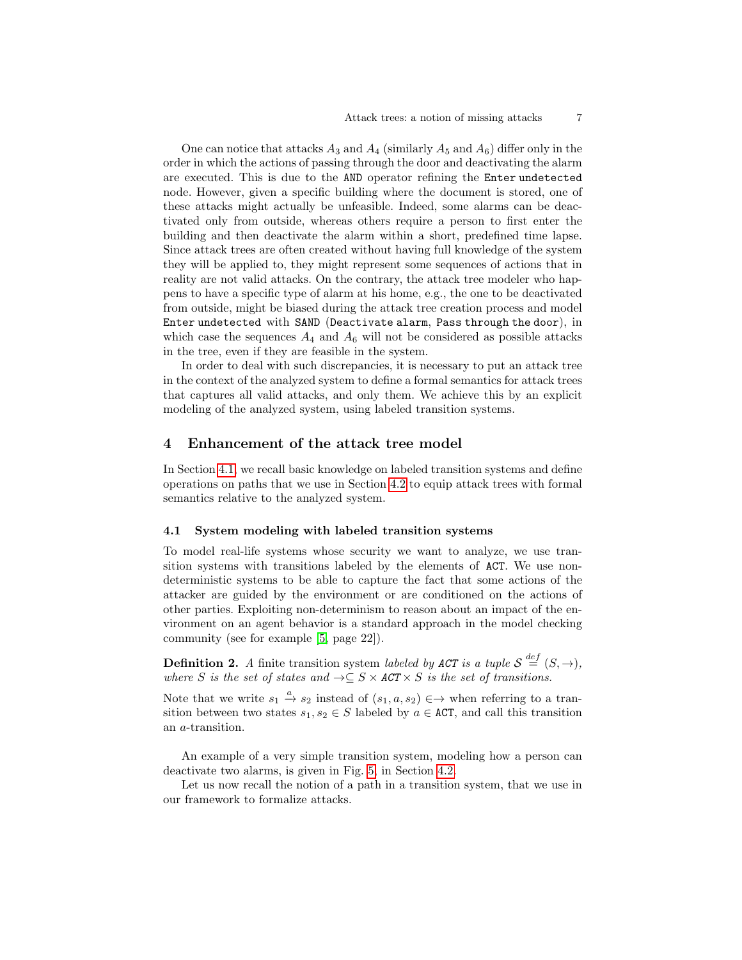One can notice that attacks  $A_3$  and  $A_4$  (similarly  $A_5$  and  $A_6$ ) differ only in the order in which the actions of passing through the door and deactivating the alarm are executed. This is due to the AND operator refining the Enter undetected node. However, given a specific building where the document is stored, one of these attacks might actually be unfeasible. Indeed, some alarms can be deactivated only from outside, whereas others require a person to first enter the building and then deactivate the alarm within a short, predefined time lapse. Since attack trees are often created without having full knowledge of the system they will be applied to, they might represent some sequences of actions that in reality are not valid attacks. On the contrary, the attack tree modeler who happens to have a specific type of alarm at his home, e.g., the one to be deactivated from outside, might be biased during the attack tree creation process and model Enter undetected with SAND (Deactivate alarm, Pass through the door), in which case the sequences  $A_4$  and  $A_6$  will not be considered as possible attacks in the tree, even if they are feasible in the system.

In order to deal with such discrepancies, it is necessary to put an attack tree in the context of the analyzed system to define a formal semantics for attack trees that captures all valid attacks, and only them. We achieve this by an explicit modeling of the analyzed system, using labeled transition systems.

## <span id="page-6-0"></span>4 Enhancement of the attack tree model

In Section [4.1,](#page-6-1) we recall basic knowledge on labeled transition systems and define operations on paths that we use in Section [4.2](#page-9-0) to equip attack trees with formal semantics relative to the analyzed system.

#### <span id="page-6-1"></span>4.1 System modeling with labeled transition systems

To model real-life systems whose security we want to analyze, we use transition systems with transitions labeled by the elements of ACT. We use nondeterministic systems to be able to capture the fact that some actions of the attacker are guided by the environment or are conditioned on the actions of other parties. Exploiting non-determinism to reason about an impact of the environment on an agent behavior is a standard approach in the model checking community (see for example [\[5,](#page-25-15) page 22]).

**Definition 2.** A finite transition system labeled by ACT is a tuple  $S \stackrel{def}{=} (S, \rightarrow)$ , where S is the set of states and  $\rightarrow \subseteq S \times \text{ACT} \times S$  is the set of transitions.

Note that we write  $s_1 \stackrel{a}{\rightarrow} s_2$  instead of  $(s_1, a, s_2) \in \rightarrow$  when referring to a transition between two states  $s_1, s_2 \in S$  labeled by  $a \in$  ACT, and call this transition an a-transition.

An example of a very simple transition system, modeling how a person can deactivate two alarms, is given in Fig. [5,](#page-10-0) in Section [4.2.](#page-9-0)

Let us now recall the notion of a path in a transition system, that we use in our framework to formalize attacks.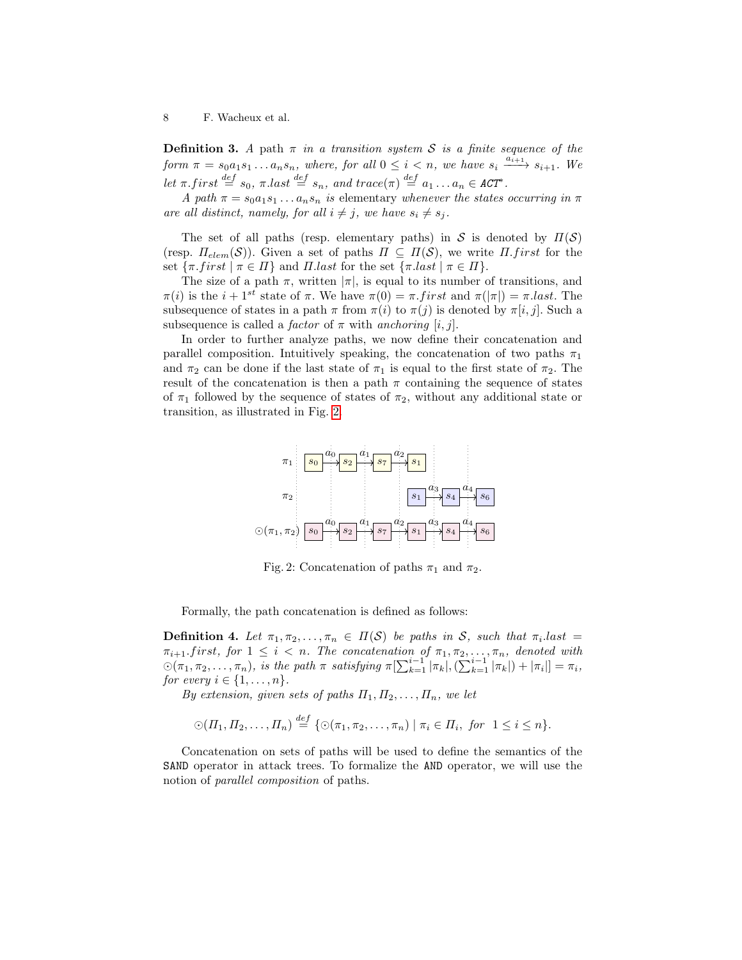**Definition 3.** A path  $\pi$  in a transition system S is a finite sequence of the form  $\pi = s_0 a_1 s_1 \dots a_n s_n$ , where, for all  $0 \leq i < n$ , we have  $s_i \xrightarrow{a_{i+1}} s_{i+1}$ . We let  $\pi$ . first  $\stackrel{def}{=} s_0$ ,  $\pi$ . last  $\stackrel{def}{=} s_n$ , and trace( $\pi$ )  $\stackrel{def}{=} a_1 \dots a_n \in \text{ACT}^*$ .

A path  $\pi = s_0 a_1 s_1 \dots a_n s_n$  is elementary whenever the states occurring in  $\pi$ are all distinct, namely, for all  $i \neq j$ , we have  $s_i \neq s_j$ .

The set of all paths (resp. elementary paths) in S is denoted by  $\Pi(\mathcal{S})$ (resp.  $\Pi_{elem}(\mathcal{S})$ ). Given a set of paths  $\Pi \subseteq \Pi(\mathcal{S})$ , we write  $\Pi$ . first for the set  $\{\pi \text{.first } | \pi \in \Pi\}$  and  $\Pi \text{.last}$  for the set  $\{\pi \text{.last } | \pi \in \Pi\}.$ 

The size of a path  $\pi$ , written  $|\pi|$ , is equal to its number of transitions, and  $\pi(i)$  is the  $i + 1^{st}$  state of  $\pi$ . We have  $\pi(0) = \pi \text{.}$  first and  $\pi(|\pi|) = \pi \text{.}$  last. The subsequence of states in a path  $\pi$  from  $\pi(i)$  to  $\pi(j)$  is denoted by  $\pi[i, j]$ . Such a subsequence is called a *factor* of  $\pi$  with *anchoring* [*i, j*].

In order to further analyze paths, we now define their concatenation and parallel composition. Intuitively speaking, the concatenation of two paths  $\pi_1$ and  $\pi_2$  can be done if the last state of  $\pi_1$  is equal to the first state of  $\pi_2$ . The result of the concatenation is then a path  $\pi$  containing the sequence of states of  $\pi_1$  followed by the sequence of states of  $\pi_2$ , without any additional state or transition, as illustrated in Fig. [2.](#page-7-0)

<span id="page-7-0"></span>

Fig. 2: Concatenation of paths  $\pi_1$  and  $\pi_2$ .

Formally, the path concatenation is defined as follows:

<span id="page-7-1"></span>**Definition 4.** Let  $\pi_1, \pi_2, \ldots, \pi_n \in \Pi(\mathcal{S})$  be paths in S, such that  $\pi_i$  last  $=$  $\pi_{i+1}.first, for 1 \leq i < n.$  The concatenation of  $\pi_1, \pi_2, \ldots, \pi_n$ , denoted with  $\left[\bigcirc(\pi_1, \pi_2, \ldots, \pi_n)\right]$ , is the path  $\pi$  satisfying  $\pi\left[\sum_{k=1}^{i-1} |\pi_k|, \left(\sum_{k=1}^{i-1} |\pi_k|\right) + |\pi_i|\right] = \pi_i$ , for every  $i \in \{1, \ldots, n\}$ .

By extension, given sets of paths  $\Pi_1, \Pi_2, \ldots, \Pi_n$ , we let

$$
\odot(\Pi_1,\Pi_2,\ldots,\Pi_n)\stackrel{def}{=}\{\odot(\pi_1,\pi_2,\ldots,\pi_n)\mid \pi_i\in\Pi_i,\ for\ 1\leq i\leq n\}.
$$

Concatenation on sets of paths will be used to define the semantics of the SAND operator in attack trees. To formalize the AND operator, we will use the notion of parallel composition of paths.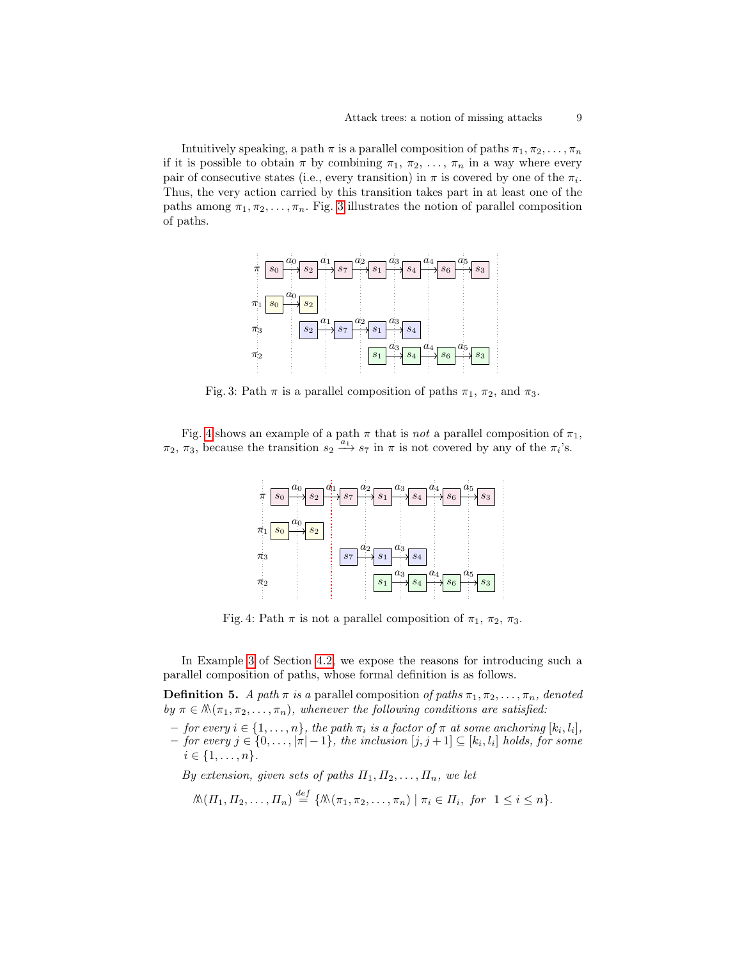Intuitively speaking, a path  $\pi$  is a parallel composition of paths  $\pi_1, \pi_2, \ldots, \pi_n$ if it is possible to obtain  $\pi$  by combining  $\pi_1, \pi_2, \ldots, \pi_n$  in a way where every pair of consecutive states (i.e., every transition) in  $\pi$  is covered by one of the  $\pi_i$ . Thus, the very action carried by this transition takes part in at least one of the paths among  $\pi_1, \pi_2, \ldots, \pi_n$ . Fig. [3](#page-8-0) illustrates the notion of parallel composition of paths.

<span id="page-8-0"></span>

Fig. 3: Path  $\pi$  is a parallel composition of paths  $\pi_1$ ,  $\pi_2$ , and  $\pi_3$ .

<span id="page-8-1"></span>Fig. [4](#page-8-1) shows an example of a path  $\pi$  that is *not* a parallel composition of  $\pi_1$ ,  $\pi_2$ ,  $\pi_3$ , because the transition  $s_2 \stackrel{a_1}{\longrightarrow} s_7$  in  $\pi$  is not covered by any of the  $\pi_i$ 's.

| $\pi$                                     | $\boxed{s_0 \stackrel{a_0}{\longrightarrow} s_2 \stackrel{a_1}{\longrightarrow} s_7 \stackrel{a_2}{\longrightarrow} s_1 \stackrel{a_3}{\longrightarrow} s_4 \stackrel{a_4}{\longrightarrow} s_6 \stackrel{a_5}{\longrightarrow}}$<br>$s_3$ |
|-------------------------------------------|--------------------------------------------------------------------------------------------------------------------------------------------------------------------------------------------------------------------------------------------|
| $\pi_1$ $\boxed{s_0 \longrightarrow s_2}$ |                                                                                                                                                                                                                                            |
| $\pi_3$                                   | $s_7 \xrightarrow{a_2} s_1 \xrightarrow{a_3} s_4$                                                                                                                                                                                          |
| $\pi_2$                                   | $\boxed{s_1 \stackrel{a_3}{\longrightarrow} s_4 \stackrel{a_4}{\longrightarrow} s_6 \stackrel{a_5}{\longrightarrow} s_3}$                                                                                                                  |

Fig. 4: Path  $\pi$  is not a parallel composition of  $\pi_1$ ,  $\pi_2$ ,  $\pi_3$ .

In Example [3](#page-10-1) of Section [4.2,](#page-9-0) we expose the reasons for introducing such a parallel composition of paths, whose formal definition is as follows.

<span id="page-8-2"></span>**Definition 5.** A path  $\pi$  is a parallel composition of paths  $\pi_1, \pi_2, \ldots, \pi_n$ , denoted by  $\pi \in \mathbb{M}(\pi_1, \pi_2, \ldots, \pi_n)$ , whenever the following conditions are satisfied:

- $-$  for every  $i \in \{1, \ldots, n\}$ , the path  $\pi_i$  is a factor of  $\pi$  at some anchoring  $[k_i, l_i]$ ,  $-$  for every  $j \in \{0, \ldots, |\pi| - 1\}$ , the inclusion  $[j, j+1] ⊆ [k_i, l_i]$  holds, for some
- $i \in \{1, \ldots, n\}.$

By extension, given sets of paths  $\Pi_1, \Pi_2, \ldots, \Pi_n$ , we let

$$
\mathcal{N}(H_1, H_2, \dots, H_n) \stackrel{def}{=} \{ \mathcal{N}(\pi_1, \pi_2, \dots, \pi_n) \mid \pi_i \in H_i, \text{ for } 1 \leq i \leq n \}.
$$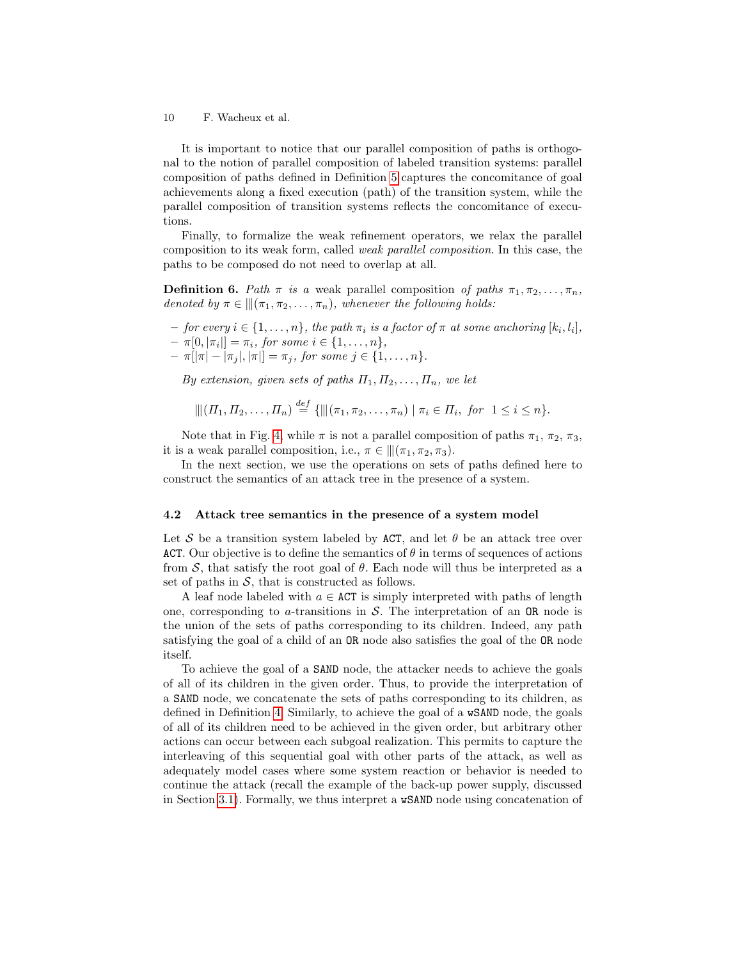It is important to notice that our parallel composition of paths is orthogonal to the notion of parallel composition of labeled transition systems: parallel composition of paths defined in Definition [5](#page-8-2) captures the concomitance of goal achievements along a fixed execution (path) of the transition system, while the parallel composition of transition systems reflects the concomitance of executions.

Finally, to formalize the weak refinement operators, we relax the parallel composition to its weak form, called weak parallel composition. In this case, the paths to be composed do not need to overlap at all.

<span id="page-9-1"></span>**Definition 6.** Path  $\pi$  is a weak parallel composition of paths  $\pi_1, \pi_2, \ldots, \pi_n$ , denoted by  $\pi \in ||(\pi_1, \pi_2, \ldots, \pi_n)|$ , whenever the following holds:

 $-$  for every  $i \in \{1, \ldots, n\}$ , the path  $\pi_i$  is a factor of  $\pi$  at some anchoring  $[k_i, l_i]$ ,  $- \pi[0, |\pi_i|] = \pi_i$ , for some  $i \in \{1, ..., n\}$ ,

 $- \pi[|\pi| - |\pi_j|, |\pi|] = \pi_j$ , for some  $j \in \{1, ..., n\}.$ 

By extension, given sets of paths  $\Pi_1, \Pi_2, \ldots, \Pi_n$ , we let

$$
\| (II_1, II_2, \ldots, II_n) \stackrel{def}{=} \{ \| (\pi_1, \pi_2, \ldots, \pi_n) \mid \pi_i \in \Pi_i, \text{ for } 1 \leq i \leq n \}.
$$

Note that in Fig. [4,](#page-8-1) while  $\pi$  is not a parallel composition of paths  $\pi_1$ ,  $\pi_2$ ,  $\pi_3$ , it is a weak parallel composition, i.e.,  $\pi \in ||(\pi_1, \pi_2, \pi_3).$ 

In the next section, we use the operations on sets of paths defined here to construct the semantics of an attack tree in the presence of a system.

#### <span id="page-9-0"></span>4.2 Attack tree semantics in the presence of a system model

Let S be a transition system labeled by ACT, and let  $\theta$  be an attack tree over ACT. Our objective is to define the semantics of  $\theta$  in terms of sequences of actions from S, that satisfy the root goal of  $\theta$ . Each node will thus be interpreted as a set of paths in  $S$ , that is constructed as follows.

A leaf node labeled with  $a \in \text{ACT}$  is simply interpreted with paths of length one, corresponding to a-transitions in  $S$ . The interpretation of an OR node is the union of the sets of paths corresponding to its children. Indeed, any path satisfying the goal of a child of an OR node also satisfies the goal of the OR node itself.

To achieve the goal of a SAND node, the attacker needs to achieve the goals of all of its children in the given order. Thus, to provide the interpretation of a SAND node, we concatenate the sets of paths corresponding to its children, as defined in Definition [4.](#page-7-1) Similarly, to achieve the goal of a wSAND node, the goals of all of its children need to be achieved in the given order, but arbitrary other actions can occur between each subgoal realization. This permits to capture the interleaving of this sequential goal with other parts of the attack, as well as adequately model cases where some system reaction or behavior is needed to continue the attack (recall the example of the back-up power supply, discussed in Section [3.1\)](#page-4-1). Formally, we thus interpret a wSAND node using concatenation of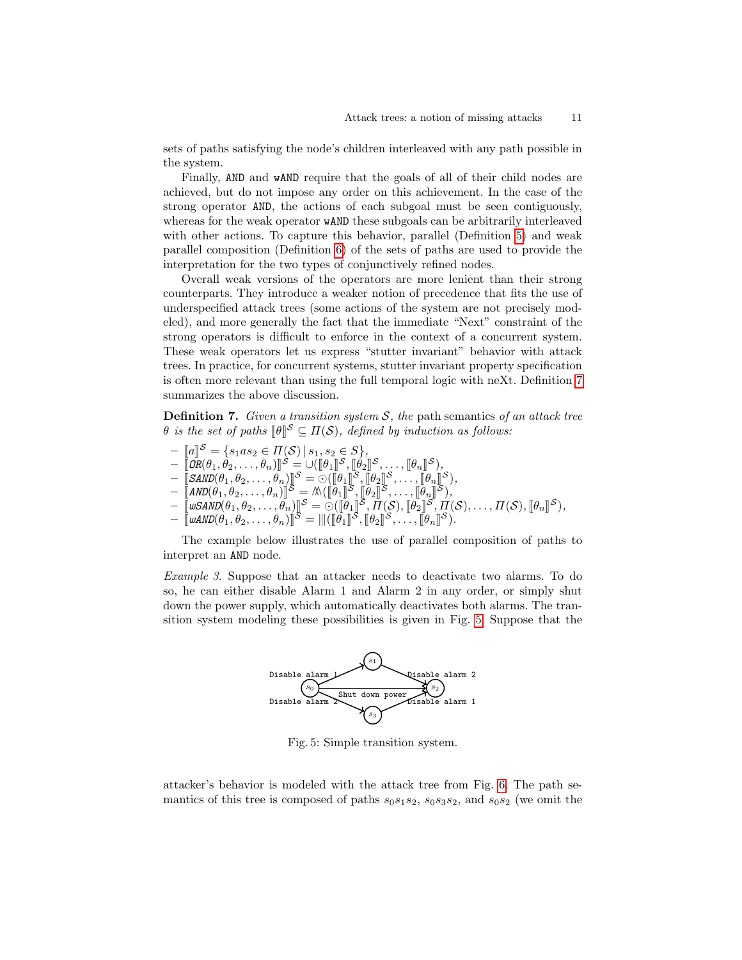sets of paths satisfying the node's children interleaved with any path possible in the system.

Finally, AND and wAND require that the goals of all of their child nodes are achieved, but do not impose any order on this achievement. In the case of the strong operator AND, the actions of each subgoal must be seen contiguously, whereas for the weak operator wAND these subgoals can be arbitrarily interleaved with other actions. To capture this behavior, parallel (Definition [5\)](#page-8-2) and weak parallel composition (Definition [6\)](#page-9-1) of the sets of paths are used to provide the interpretation for the two types of conjunctively refined nodes.

Overall weak versions of the operators are more lenient than their strong counterparts. They introduce a weaker notion of precedence that fits the use of underspecified attack trees (some actions of the system are not precisely modeled), and more generally the fact that the immediate "Next" constraint of the strong operators is difficult to enforce in the context of a concurrent system. These weak operators let us express "stutter invariant" behavior with attack trees. In practice, for concurrent systems, stutter invariant property specification is often more relevant than using the full temporal logic with neXt. Definition [7](#page-10-2) summarizes the above discussion.

<span id="page-10-2"></span>**Definition 7.** Given a transition system  $S$ , the path semantics of an attack tree  $\theta$  is the set of paths  $[\![\theta]\!]^{\mathcal{S}} \subseteq \Pi(\mathcal{S})$ , defined by induction as follows:

- $[a]$ <sup>S</sup> = {s<sub>1</sub>as<sub>2</sub>  $\in$   $\Pi(S)$  | s<sub>1</sub>, s<sub>2</sub>  $\in$  S},<br>-  $\Box$ p<sub>B</sub>(e, e, e, e)  $\Box$ <sup>S</sup>  $\Box$ ( $[a]$ ,  $\Box$ S  $[a]$ )
- $-\begin{bmatrix} \overline{D}R(\theta_1, \theta_2, \dots, \theta_n) \end{bmatrix}^S = \cup (\begin{bmatrix} \theta_1 \end{bmatrix}^S, \begin{bmatrix} \theta_2 \end{bmatrix}^S, \dots, \begin{bmatrix} \theta_n \end{bmatrix}^S),$ <br>  $-\begin{bmatrix} \overline{S}AMD(\theta_1, \theta_2, \dots, \theta_n) \end{bmatrix}^S = \odot (\begin{bmatrix} \theta_1 & \overline{S} & \overline{S} & \overline{S} & \overline{S} \\ \end{bmatrix}^S, \begin{bmatrix} \overline{S} & \overline{S} & \overline{S$
- $-\begin{bmatrix} \mathbb{E} \text{SAVD}(\theta_1, \theta_2, \dots, \hat{\theta}_n) \end{bmatrix}^S = \odot (\mathbb{E}[\mathbf{0}_1]^S, \mathbb{E}[\theta_2]^S, \dots, \mathbb{E}[\mathbf{0}_n]^S),$ <br>  $-\mathbb{E} \text{AND}(\theta_1, \theta_2, \dots, \theta_n)$   $\mathbb{E} \geq \mathcal{N}(\mathbb{E}[\theta_1]^S, \mathbb{E}[\theta_2]^S, \dots, \mathbb{E}[\mathbf{0}_n]^S),$
- $\begin{bmatrix} -\end{bmatrix} \begin{bmatrix} \mathbf{AND}(\theta_1, \theta_2, \dots, \theta_n) \end{bmatrix} \begin{bmatrix} \mathbf{S} \\ \mathbf{S} \end{bmatrix} = \mathcal{N} \left( \begin{bmatrix} \mathbf{0} \\ \mathbf{0} \end{bmatrix} \begin{bmatrix} \mathbf{S} \\ \mathbf{S} \end{bmatrix}, \begin{bmatrix} \mathbf{0} \\ \mathbf{S} \end{bmatrix} \begin{bmatrix} \mathbf{S} \\ \mathbf{S} \end{bmatrix}, \dots, \begin{bmatrix} \mathbf{0} \\ \mathbf{0} \end{bmatrix} \begin{bmatrix} \mathbf$
- $\begin{array}{l} -\stackrel{=}{[\![} \omega \text{SAND}(\theta_1,\theta_2,\ldots,\stackrel{=}{\theta_n})\stackrel{=}{\parallel}^{\mathcal{S}} = \stackrel{=}{\odot}([\![}\theta_1\Vert^{\mathcal{S}},\bar{\Pi}(\mathcal{S}),[\![}\theta_2\Vert^{\mathcal{S}},\bar{\Pi}(\mathcal{S}),\ldots,\Pi(\mathcal{S}),[\![}\theta_n\Vert^{\mathcal{S}}),\ -\stackrel{=}{[\![} \omega \text{AND}(\theta_1,\theta_2,\ldots,\theta_n)]\stackrel{=}{\parallel} = \stackrel{=}{[\![} \omega \text{ID}(\theta_1,\theta_2,\ld$
- $-\left[\!\left[ \text{wAND}(\theta_1, \theta_2, \ldots, \theta_n) \right] \!\right]^\mathcal{S} = ||| \left( [\![\tilde{\theta}_1]\!]^\mathcal{S}, [\![\theta_2]\!]^\mathcal{S}, \ldots, [\![\tilde{\theta}_n]\!]^\mathcal{S} \right).$

The example below illustrates the use of parallel composition of paths to interpret an AND node.

<span id="page-10-1"></span><span id="page-10-0"></span>Example 3. Suppose that an attacker needs to deactivate two alarms. To do so, he can either disable Alarm 1 and Alarm 2 in any order, or simply shut down the power supply, which automatically deactivates both alarms. The transition system modeling these possibilities is given in Fig. [5.](#page-10-0) Suppose that the



Fig. 5: Simple transition system.

attacker's behavior is modeled with the attack tree from Fig. [6.](#page-11-0) The path semantics of this tree is composed of paths  $s_0s_1s_2$ ,  $s_0s_3s_2$ , and  $s_0s_2$  (we omit the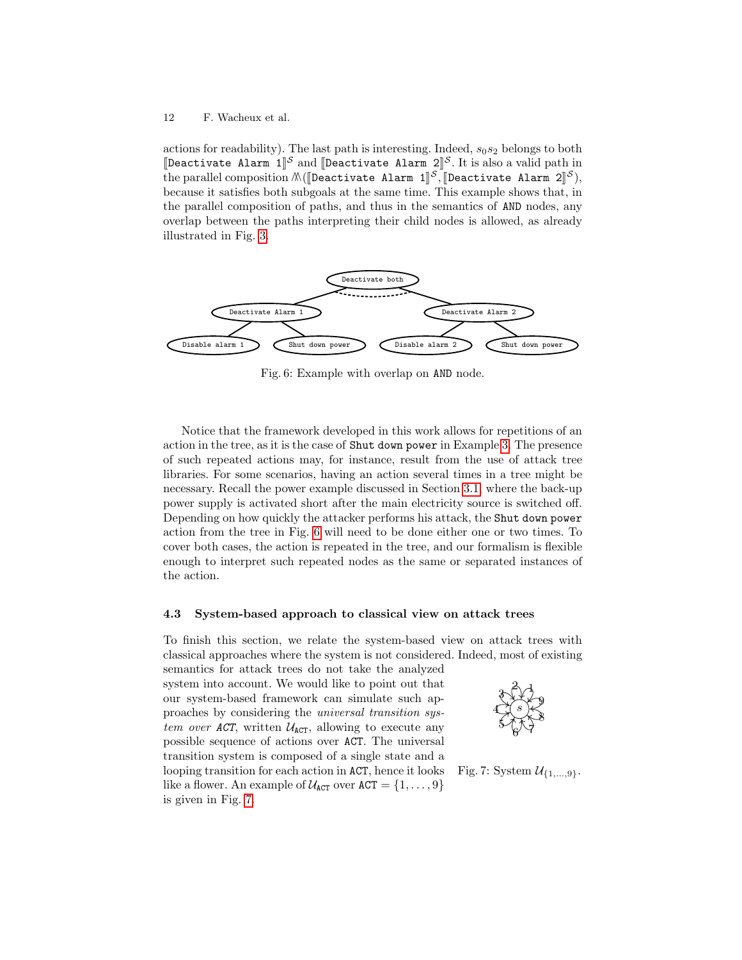actions for readability). The last path is interesting. Indeed,  $s_0s_2$  belongs to both [Deactivate Alarm 1]<sup>S</sup> and [Deactivate Alarm 2]<sup>S</sup>. It is also a valid path in the parallel composition  $\mathcal{M}(\mathbb{R}$ pactivate Alarm 1<sup>1S</sup> [Deactivate Alarm 2<sup>1S</sup>) the parallel composition  $\mathcal{M}(\mathbb{D}\text{eactive Area})$  alarm  $1\mathbb{D}^S$ ,  $\mathbb{D}\text{eactive Area}$  Alarm  $2\mathbb{D}^S$ ), howeven it estiglies both subgoods at the same time. This example shows that in because it satisfies both subgoals at the same time. This example shows that, in the parallel composition of paths, and thus in the semantics of AND nodes, any overlap between the paths interpreting their child nodes is allowed, as already illustrated in Fig. [3.](#page-8-0)

<span id="page-11-0"></span>

Fig. 6: Example with overlap on AND node.

Notice that the framework developed in this work allows for repetitions of an action in the tree, as it is the case of Shut down power in Example [3.](#page-10-1) The presence of such repeated actions may, for instance, result from the use of attack tree libraries. For some scenarios, having an action several times in a tree might be necessary. Recall the power example discussed in Section [3.1,](#page-4-1) where the back-up power supply is activated short after the main electricity source is switched off. Depending on how quickly the attacker performs his attack, the Shut down power action from the tree in Fig. [6](#page-11-0) will need to be done either one or two times. To cover both cases, the action is repeated in the tree, and our formalism is flexible enough to interpret such repeated nodes as the same or separated instances of the action.

### 4.3 System-based approach to classical view on attack trees

To finish this section, we relate the system-based view on attack trees with classical approaches where the system is not considered. Indeed, most of existing

semantics for attack trees do not take the analyzed system into account. We would like to point out that our system-based framework can simulate such approaches by considering the universal transition system over ACT, written  $U_{\text{ACT}}$ , allowing to execute any possible sequence of actions over ACT. The universal transition system is composed of a single state and a looping transition for each action in ACT, hence it looks like a flower. An example of  $\mathcal{U}_{\texttt{ACT}}$  over  $\texttt{ACT} = \{1, \ldots, 9\}$ is given in Fig. [7.](#page-11-1)

<span id="page-11-1"></span>

Fig. 7: System  $\mathcal{U}_{\{1,\ldots,9\}}$ .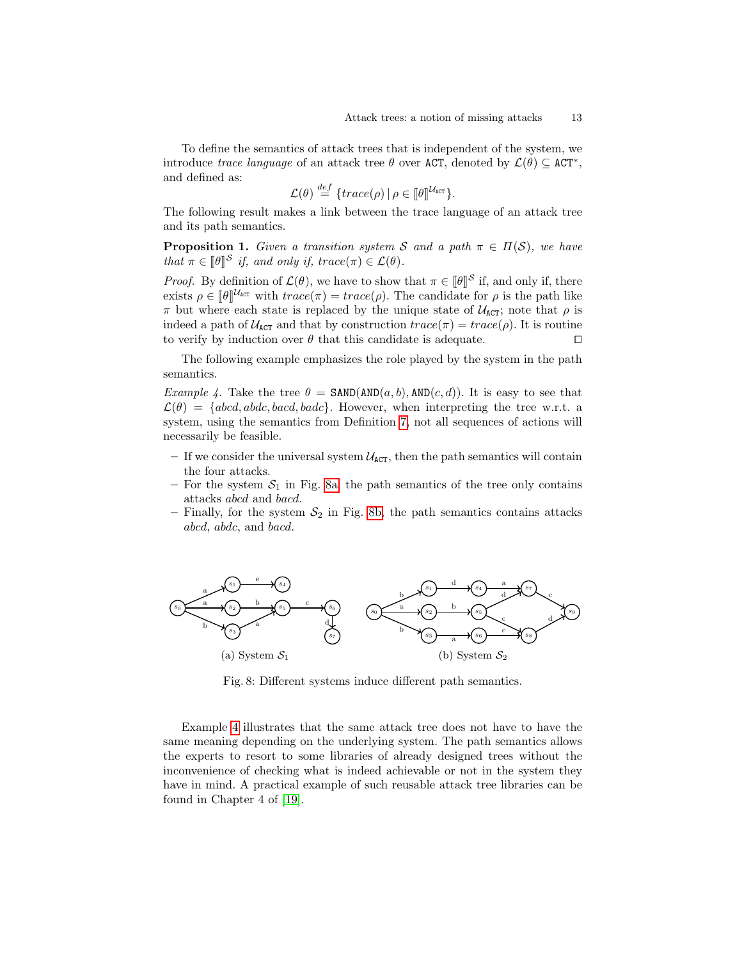To define the semantics of attack trees that is independent of the system, we introduce trace language of an attack tree  $\theta$  over ACT, denoted by  $\mathcal{L}(\theta) \subseteq \text{ACT}^*$ , and defined as:

$$
\mathcal{L}(\theta) \stackrel{def}{=} \{ trace(\rho) \mid \rho \in [\![ \theta ]\!]^{\mathcal{U}_{\text{ACT}}} \}.
$$

The following result makes a link between the trace language of an attack tree and its path semantics.

<span id="page-12-3"></span>**Proposition 1.** Given a transition system S and a path  $\pi \in \Pi(\mathcal{S})$ , we have that  $\pi \in [\![\theta]\!]^{\mathcal{S}}$  if, and only if, trace $(\pi) \in \mathcal{L}(\theta)$ .

*Proof.* By definition of  $\mathcal{L}(\theta)$ , we have to show that  $\pi \in [\![\theta]\!]^S$  if, and only if, there exists a  $\subset \mathbb{R}$   $\mathbb{R}^{d}$  with trace  $(\pi)$  = trace  $(\alpha)$ . The condidate for a is the path like exists  $\rho \in [\![\theta]\!]^{U_{\text{ACT}}}$  with  $trace(\pi) = trace(\rho)$ . The candidate for  $\rho$  is the path like π but where each state is replaced by the unique state of  $U<sub>ACT</sub>$ ; note that  $ρ$  is indeed a path of  $U_{\text{ACT}}$  and that by construction  $trace(\pi) = trace(\rho)$ . It is routine to verify by induction over  $\theta$  that this candidate is adequate.

<span id="page-12-2"></span>The following example emphasizes the role played by the system in the path semantics.

Example 4. Take the tree  $\theta =$  SAND(AND(a, b), AND(c, d)). It is easy to see that  $\mathcal{L}(\theta) = \{abcd, abdc, bacd, badc\}$ . However, when interpreting the tree w.r.t. a system, using the semantics from Definition [7,](#page-10-2) not all sequences of actions will necessarily be feasible.

- If we consider the universal system  $U_{\text{ACT}}$ , then the path semantics will contain the four attacks.
- For the system  $S_1$  in Fig. [8a,](#page-12-0) the path semantics of the tree only contains attacks abcd and bacd.
- Finally, for the system  $S_2$  in Fig. [8b,](#page-12-1) the path semantics contains attacks abcd, abdc, and bacd.

<span id="page-12-0"></span>

<span id="page-12-1"></span>Fig. 8: Different systems induce different path semantics.

Example [4](#page-12-2) illustrates that the same attack tree does not have to have the same meaning depending on the underlying system. The path semantics allows the experts to resort to some libraries of already designed trees without the inconvenience of checking what is indeed achievable or not in the system they have in mind. A practical example of such reusable attack tree libraries can be found in Chapter 4 of [\[19\]](#page-25-1).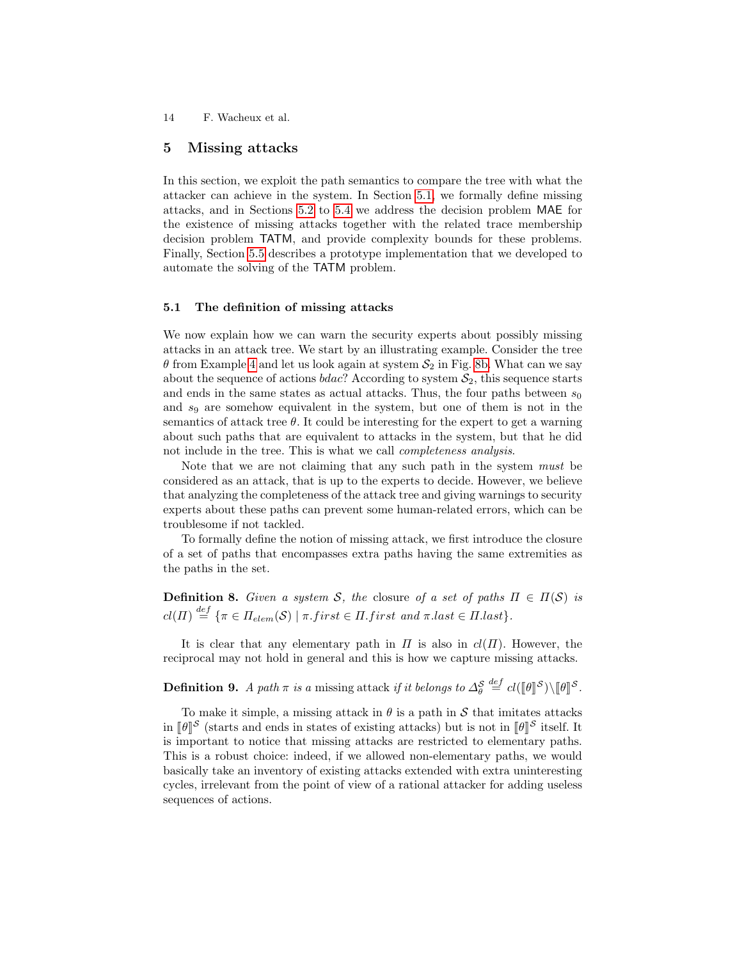# <span id="page-13-0"></span>5 Missing attacks

In this section, we exploit the path semantics to compare the tree with what the attacker can achieve in the system. In Section [5.1,](#page-13-1) we formally define missing attacks, and in Sections [5.2](#page-14-0) to [5.4](#page-18-0) we address the decision problem MAE for the existence of missing attacks together with the related trace membership decision problem TATM, and provide complexity bounds for these problems. Finally, Section [5.5](#page-22-0) describes a prototype implementation that we developed to automate the solving of the TATM problem.

### <span id="page-13-1"></span>5.1 The definition of missing attacks

We now explain how we can warn the security experts about possibly missing attacks in an attack tree. We start by an illustrating example. Consider the tree  $\theta$  from Example [4](#page-12-2) and let us look again at system  $S_2$  in Fig. [8b.](#page-12-1) What can we say about the sequence of actions *bdac*? According to system  $S_2$ , this sequence starts and ends in the same states as actual attacks. Thus, the four paths between  $s_0$ and  $s<sub>9</sub>$  are somehow equivalent in the system, but one of them is not in the semantics of attack tree  $\theta$ . It could be interesting for the expert to get a warning about such paths that are equivalent to attacks in the system, but that he did not include in the tree. This is what we call completeness analysis.

Note that we are not claiming that any such path in the system must be considered as an attack, that is up to the experts to decide. However, we believe that analyzing the completeness of the attack tree and giving warnings to security experts about these paths can prevent some human-related errors, which can be troublesome if not tackled.

To formally define the notion of missing attack, we first introduce the closure of a set of paths that encompasses extra paths having the same extremities as the paths in the set.

**Definition 8.** Given a system S, the closure of a set of paths  $\Pi \in \Pi(\mathcal{S})$  is  $cl(\Pi) \stackrel{def}{=} {\pi \in \Pi_{elem}(\mathcal{S}) \mid \pi}.first \in \Pi. first \text{ and } \pi. last \in \Pi. last}$ .

It is clear that any elementary path in  $\Pi$  is also in  $cl(\Pi)$ . However, the reciprocal may not hold in general and this is how we capture missing attacks.

### **Definition 9.** A path  $\pi$  is a missing attack if it belongs to  $\Delta_{\theta}^{\mathcal{S}}$  $\stackrel{def}{=} cl(\llbracket \theta \rrbracket^S) \backslash \llbracket \theta \rrbracket^S.$

To make it simple, a missing attack in  $\theta$  is a path in S that imitates attacks in  $[\![\theta]\!]^{\mathcal{S}}$  (starts and ends in states of existing attacks) but is not in  $[\![\theta]\!]^{\mathcal{S}}$  itself. It is important to notice that missing attacks are restricted to elementary paths. This is a robust choice: indeed, if we allowed non-elementary paths, we would basically take an inventory of existing attacks extended with extra uninteresting cycles, irrelevant from the point of view of a rational attacker for adding useless sequences of actions.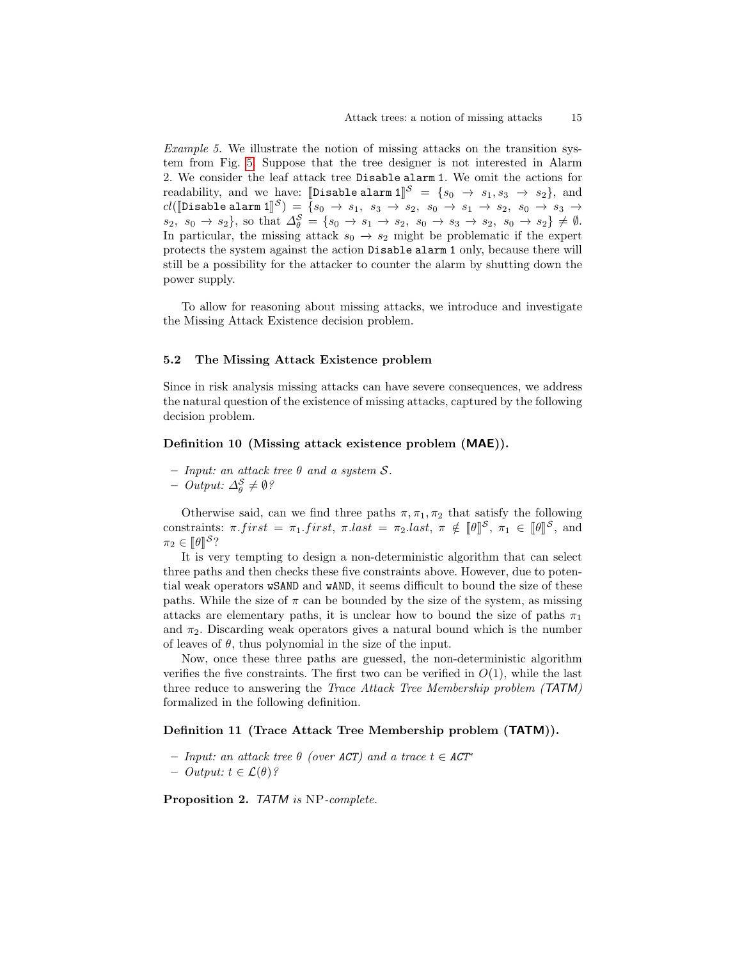Example 5. We illustrate the notion of missing attacks on the transition system from Fig. [5.](#page-10-0) Suppose that the tree designer is not interested in Alarm 2. We consider the leaf attack tree Disable alarm 1. We omit the actions for readability, and we have:  $[\text{Disable alarm 1}]^S = \{s_0 \to s_1, s_3 \to s_2\}$ , and  $s_0^{\text{off-Disoph}}$  alarm  $t^{1,S_1} = \{s_0 \to s_1, s_2 \to s_2, s_3 \to s_4\}$  $cl([\texttt{Disable alarm 1}]^S) = \{s_0 \to s_1, s_3 \to s_2, s_0 \to s_1 \to s_2, s_0 \to s_3 \to s_2, s_0 \to s_2, s_0 \to s_3 \to s_2, s_0 \to s_3 \to s_3 \}$  $s_2, s_0 \to s_2$ , so that  $\Delta_{\theta}^{\mathcal{S}} = \{s_0 \to s_1 \to s_2, s_0 \to s_3 \to s_2, s_0 \to s_2\} \neq \emptyset$ . In particular, the missing attack  $s_0 \rightarrow s_2$  might be problematic if the expert protects the system against the action Disable alarm 1 only, because there will still be a possibility for the attacker to counter the alarm by shutting down the power supply.

To allow for reasoning about missing attacks, we introduce and investigate the Missing Attack Existence decision problem.

### <span id="page-14-0"></span>5.2 The Missing Attack Existence problem

Since in risk analysis missing attacks can have severe consequences, we address the natural question of the existence of missing attacks, captured by the following decision problem.

#### Definition 10 (Missing attack existence problem (MAE)).

- Input: an attack tree  $\theta$  and a system S.
- $-$  Output:  $\Delta_{\theta}^{\mathcal{S}} \neq \emptyset$ ?

Otherwise said, can we find three paths  $\pi, \pi_1, \pi_2$  that satisfy the following constraints:  $\pi.first = \pi_1.first, \pi.last = \pi_2.last, \pi \notin [\![\theta]\!]^S, \pi_1 \in [\![\theta]\!]^S$ , and  $\pi_1 \in [\![\theta]\!]^S$ ?  $\pi_2 \in [\![\theta]\!]^{\mathcal{S}}$ ?<br>It is yo

It is very tempting to design a non-deterministic algorithm that can select three paths and then checks these five constraints above. However, due to potential weak operators wSAND and wAND, it seems difficult to bound the size of these paths. While the size of  $\pi$  can be bounded by the size of the system, as missing attacks are elementary paths, it is unclear how to bound the size of paths  $\pi_1$ and  $\pi_2$ . Discarding weak operators gives a natural bound which is the number of leaves of  $\theta$ , thus polynomial in the size of the input.

Now, once these three paths are guessed, the non-deterministic algorithm verifies the five constraints. The first two can be verified in  $O(1)$ , while the last three reduce to answering the Trace Attack Tree Membership problem (TATM) formalized in the following definition.

#### Definition 11 (Trace Attack Tree Membership problem (TATM)).

- Input: an attack tree θ (over ACT) and a trace t ∈ ACT<sup>∗</sup>
- Output: t ∈ L(θ)?

<span id="page-14-1"></span>Proposition 2. TATM is NP-complete.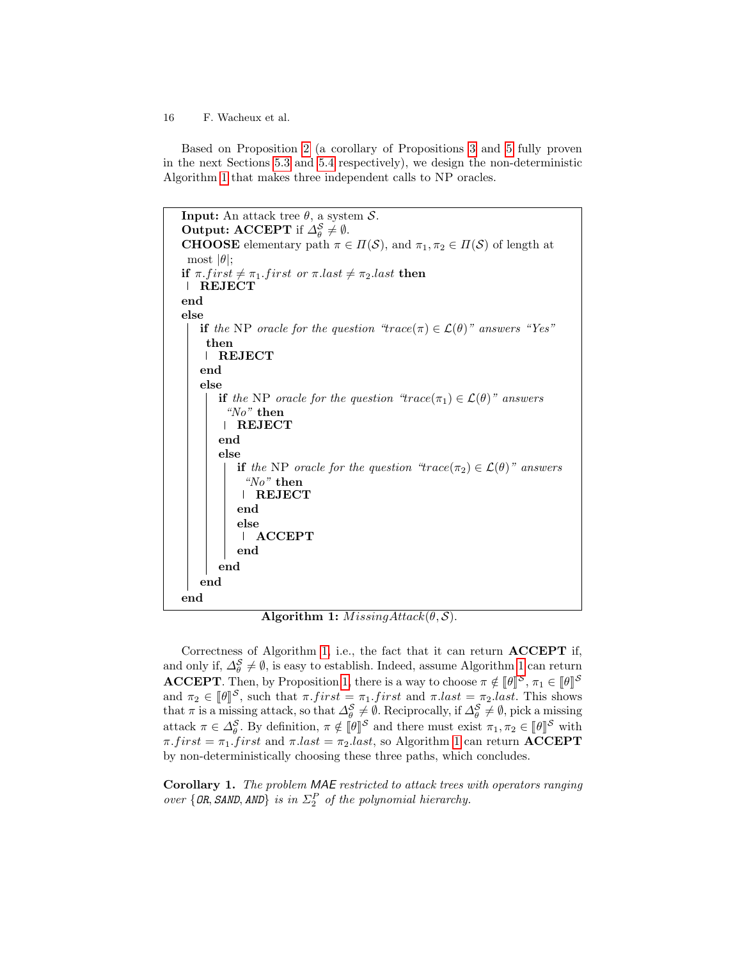Based on Proposition [2](#page-14-1) (a corollary of Propositions [3](#page-16-0) and [5](#page-18-1) fully proven in the next Sections [5.3](#page-16-1) and [5.4](#page-18-0) respectively), we design the non-deterministic Algorithm [1](#page-15-0) that makes three independent calls to NP oracles.

<span id="page-15-0"></span>

| <b>Input:</b> An attack tree $\theta$ , a system $\mathcal{S}$ .                                                |  |
|-----------------------------------------------------------------------------------------------------------------|--|
| <b>Output:</b> ACCEPT if $\Delta_{\theta}^{\mathcal{S}} \neq \emptyset$ .                                       |  |
| <b>CHOOSE</b> elementary path $\pi \in \Pi(\mathcal{S})$ , and $\pi_1, \pi_2 \in \Pi(\mathcal{S})$ of length at |  |
| most $ \theta $ ;                                                                                               |  |
| if $\pi.first \neq \pi_1.first \text{ or } \pi last \neq \pi_2 last \text{ then}$                               |  |
| <b>REJECT</b>                                                                                                   |  |
| end                                                                                                             |  |
| else                                                                                                            |  |
| <b>if</b> the NP oracle for the question " $trace(\pi) \in \mathcal{L}(\theta)$ " answers "Yes"                 |  |
| then                                                                                                            |  |
| <b>REJECT</b>                                                                                                   |  |
| end                                                                                                             |  |
| else                                                                                                            |  |
| <b>if</b> the NP oracle for the question " $trace(\pi_1) \in \mathcal{L}(\theta)$ " answers                     |  |
| " $No$ " then                                                                                                   |  |
| REJECT                                                                                                          |  |
| end                                                                                                             |  |
| else                                                                                                            |  |
| <b>if</b> the NP oracle for the question " $trace(\pi_2) \in \mathcal{L}(\theta)$ " answers                     |  |
| " $No$ " then                                                                                                   |  |
| $ $ REJECT                                                                                                      |  |
| end                                                                                                             |  |
| else                                                                                                            |  |
| $\perp$ ACCEPT                                                                                                  |  |
| end                                                                                                             |  |
| end                                                                                                             |  |
| end                                                                                                             |  |
| end                                                                                                             |  |
|                                                                                                                 |  |

Algorithm 1:  $Missing Attack(\theta, \mathcal{S}).$ 

Correctness of Algorithm [1,](#page-15-0) i.e., the fact that it can return ACCEPT if, and only if,  $\Delta_{\theta}^{\mathcal{S}} \neq \emptyset$ , is easy to establish. Indeed, assume Algorithm [1](#page-15-0) can return **ACCEPT.** Then, by Proposition [1,](#page-12-3) there is a way to choose  $\pi \notin [\![\theta]\!]^{\mathcal{S}}$ ,  $\pi_1 \in [\![\theta]\!]^{\mathcal{S}}$ and  $\pi_2 \in [\![\theta]\!]^{\mathcal{S}}$ , such that  $\pi$ . *first* =  $\pi_1$ . *first* and  $\pi$ . *last* =  $\pi_2$ . *last*. This shows that  $\pi$  is a missing attack, so that  $\Delta_{\theta}^{\mathcal{S}} \neq \emptyset$ . Reciprocally, if  $\Delta_{\theta}^{\mathcal{S}} \neq \emptyset$ , pick a missing attack  $\pi \in \Delta_{\theta}^{\mathcal{S}}$ . By definition,  $\pi \notin [\![\theta]\!]^{\mathcal{S}}$  and there must exist  $\pi_1, \pi_2 \in [\![\theta]\!]^{\mathcal{S}}$  with  $\pi$  first  $-\pi$ , first and  $\pi$  leat  $-\pi$ , leat so Also ithm 1 can return **ACCEPT**  $\pi.first = \pi_1.first$  and  $\pi.last = \pi_2.last$ , so Algorithm [1](#page-15-0) can return **ACCEPT** by non-deterministically choosing these three paths, which concludes.

Corollary 1. The problem MAE restricted to attack trees with operators ranging over  $\{OR, \text{SAND}, \text{AND}\}$  is in  $\Sigma_2^P$  of the polynomial hierarchy.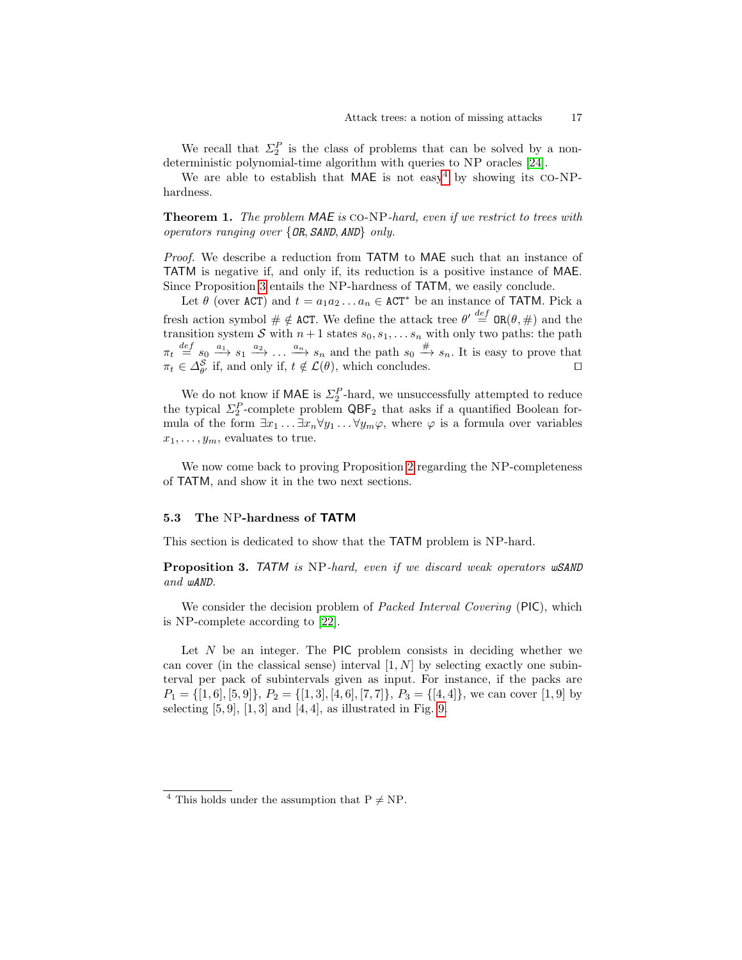We recall that  $\Sigma_2^P$  is the class of problems that can be solved by a nondeterministic polynomial-time algorithm with queries to NP oracles [\[24\]](#page-26-3).

We are able to establish that  $MAE$  is not easy<sup>[4](#page-16-2)</sup> by showing its CO-NPhardness.

**Theorem 1.** The problem MAE is CO-NP-hard, even if we restrict to trees with operators ranging over {OR, SAND, AND} only.

Proof. We describe a reduction from TATM to MAE such that an instance of TATM is negative if, and only if, its reduction is a positive instance of MAE. Since Proposition [3](#page-16-0) entails the NP-hardness of TATM, we easily conclude.

Let  $\theta$  (over ACT) and  $t = a_1 a_2 \dots a_n \in \text{ACT}^*$  be an instance of TATM. Pick a fresh action symbol  $\#\notin$  ACT. We define the attack tree  $\theta' \stackrel{def}{=} OR(\theta, \#)$  and the transition system S with  $n+1$  states  $s_0, s_1, \ldots s_n$  with only two paths: the path  $\pi_t \stackrel{def}{=} s_0 \stackrel{a_1}{\longrightarrow} s_1 \stackrel{a_2}{\longrightarrow} \ldots \stackrel{a_n}{\longrightarrow} s_n$  and the path  $s_0 \stackrel{\#}{\longrightarrow} s_n$ . It is easy to prove that  $\pi_t \in \Delta_{\theta'}^{\mathcal{S}}$  if, and only if,  $t \notin \mathcal{L}(\theta)$ , which concludes.

We do not know if MAE is  $\Sigma_2^P$ -hard, we unsuccessfully attempted to reduce the typical  $\Sigma_2^P$ -complete problem  $\mathsf{QBF}_2$  that asks if a quantified Boolean formula of the form  $\exists x_1 \ldots \exists x_n \forall y_1 \ldots \forall y_m \varphi$ , where  $\varphi$  is a formula over variables  $x_1, \ldots, y_m$ , evaluates to true.

We now come back to proving Proposition [2](#page-14-1) regarding the NP-completeness of TATM, and show it in the two next sections.

#### <span id="page-16-1"></span>5.3 The NP-hardness of TATM

<span id="page-16-0"></span>This section is dedicated to show that the TATM problem is NP-hard.

Proposition 3. TATM is NP-hard, even if we discard weak operators wSAND and wAND.

We consider the decision problem of *Packed Interval Covering* (PIC), which is NP-complete according to [\[22\]](#page-26-4).

Let  $N$  be an integer. The PIC problem consists in deciding whether we can cover (in the classical sense) interval  $[1, N]$  by selecting exactly one subinterval per pack of subintervals given as input. For instance, if the packs are  $P_1 = \{ [1, 6], [5, 9] \}, P_2 = \{ [1, 3], [4, 6], [7, 7] \}, P_3 = \{ [4, 4] \},$  we can cover  $[1, 9]$  by selecting  $[5, 9]$ ,  $[1, 3]$  and  $[4, 4]$ , as illustrated in Fig. [9.](#page-17-0)

<span id="page-16-2"></span><sup>&</sup>lt;sup>4</sup> This holds under the assumption that  $P \neq NP$ .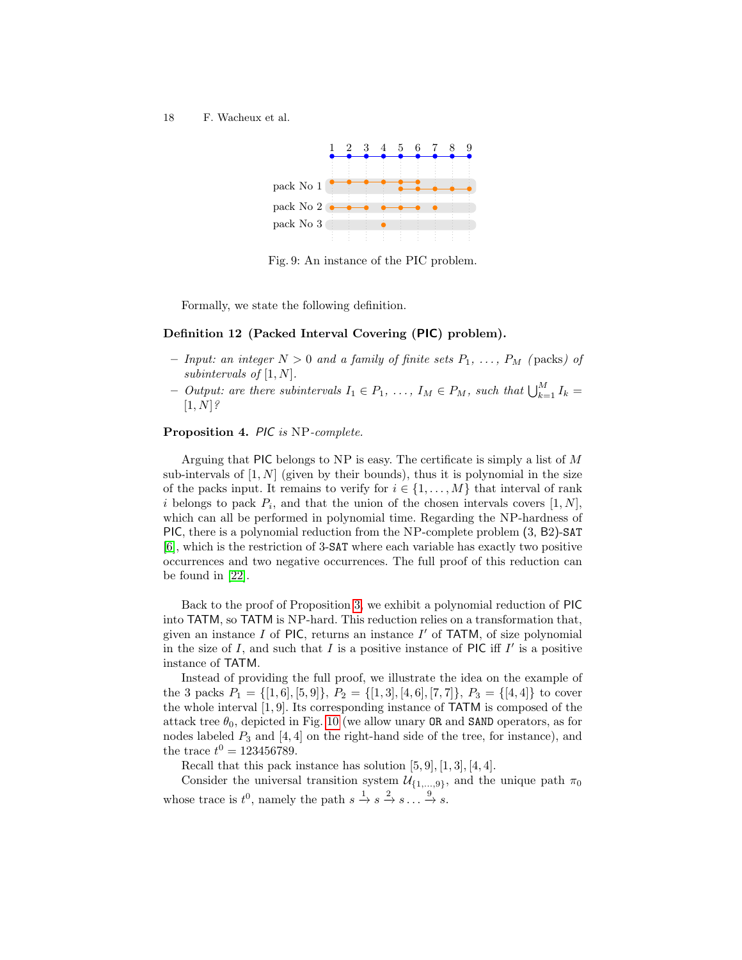<span id="page-17-0"></span>

Fig. 9: An instance of the PIC problem.

Formally, we state the following definition.

### Definition 12 (Packed Interval Covering (PIC) problem).

- Input: an integer  $N > 0$  and a family of finite sets  $P_1, \ldots, P_M$  (packs) of subintervals of  $[1, N]$ .
- $-$  Output: are there subintervals  $I_1 \in P_1, \ldots, I_M \in P_M$ , such that  $\bigcup_{k=1}^M I_k =$  $[1, N]$ ?

## Proposition 4. PIC is NP-complete.

Arguing that PIC belongs to NP is easy. The certificate is simply a list of M sub-intervals of  $[1, N]$  (given by their bounds), thus it is polynomial in the size of the packs input. It remains to verify for  $i \in \{1, \ldots, M\}$  that interval of rank i belongs to pack  $P_i$ , and that the union of the chosen intervals covers  $[1, N]$ , which can all be performed in polynomial time. Regarding the NP-hardness of PIC, there is a polynomial reduction from the NP-complete problem (3, B2)-SAT [\[6\]](#page-25-16), which is the restriction of 3-SAT where each variable has exactly two positive occurrences and two negative occurrences. The full proof of this reduction can be found in [\[22\]](#page-26-4).

Back to the proof of Proposition [3,](#page-16-0) we exhibit a polynomial reduction of PIC into TATM, so TATM is NP-hard. This reduction relies on a transformation that, given an instance  $I$  of PIC, returns an instance  $I'$  of TATM, of size polynomial in the size of  $I$ , and such that  $I$  is a positive instance of PIC iff  $I'$  is a positive instance of TATM.

Instead of providing the full proof, we illustrate the idea on the example of the 3 packs  $P_1 = \{[1,6], [5,9]\}, P_2 = \{[1,3], [4,6], [7,7]\}, P_3 = \{[4,4]\}$  to cover the whole interval [1, 9]. Its corresponding instance of TATM is composed of the attack tree  $\theta_0$ , depicted in Fig. [10](#page-18-2) (we allow unary OR and SAND operators, as for nodes labeled  $P_3$  and [4, 4] on the right-hand side of the tree, for instance), and the trace  $t^0 = 123456789$ .

Recall that this pack instance has solution  $[5, 9]$ ,  $[1, 3]$ ,  $[4, 4]$ .

Consider the universal transition system  $\mathcal{U}_{\{1,\ldots,9\}}$ , and the unique path  $\pi_0$ whose trace is  $t^0$ , namely the path  $s \stackrel{1}{\rightarrow} s \stackrel{2}{\rightarrow} s \ldots \stackrel{9}{\rightarrow} s$ .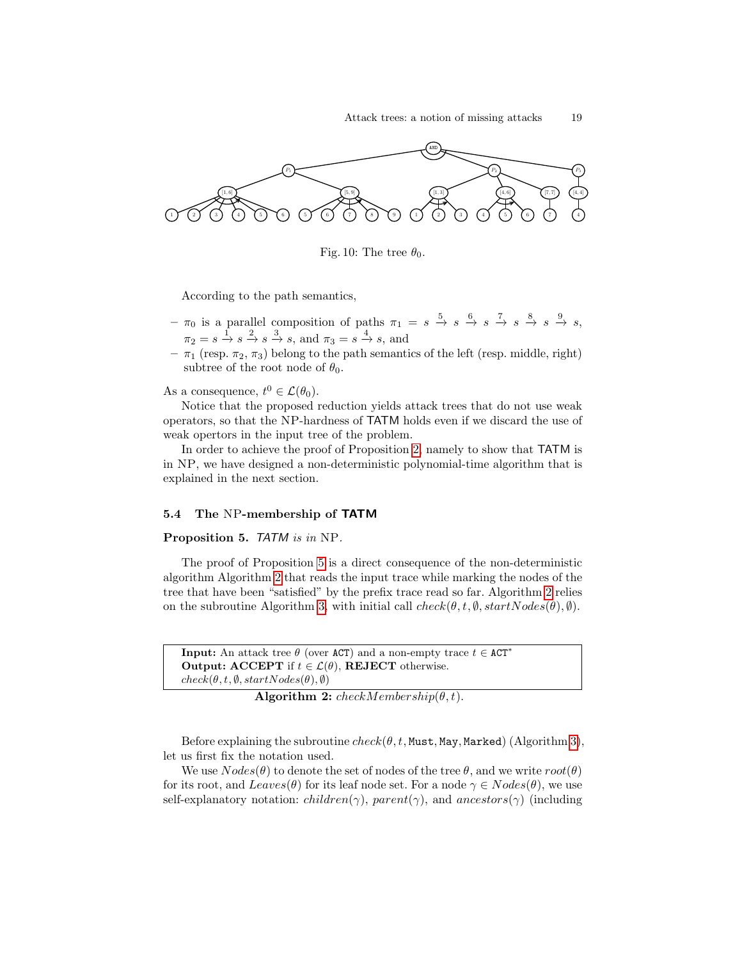<span id="page-18-2"></span>

Fig. 10: The tree  $\theta_0$ .

According to the path semantics,

- $\pi_0$  is a parallel composition of paths  $\pi_1 = s \stackrel{5}{\rightarrow} s \stackrel{6}{\rightarrow} s \stackrel{7}{\rightarrow} s \stackrel{8}{\rightarrow} s \stackrel{9}{\rightarrow} s$ ,  $\pi_2 = s \xrightarrow{1} s \xrightarrow{2} s \xrightarrow{3} s$ , and  $\pi_3 = s \xrightarrow{4} s$ , and
- $-\pi_1$  (resp.  $\pi_2$ ,  $\pi_3$ ) belong to the path semantics of the left (resp. middle, right) subtree of the root node of  $\theta_0$ .

As a consequence,  $t^0 \in \mathcal{L}(\theta_0)$ .

Notice that the proposed reduction yields attack trees that do not use weak operators, so that the NP-hardness of TATM holds even if we discard the use of weak opertors in the input tree of the problem.

In order to achieve the proof of Proposition [2,](#page-14-1) namely to show that **TATM** is in NP, we have designed a non-deterministic polynomial-time algorithm that is explained in the next section.

#### <span id="page-18-0"></span>5.4 The NP-membership of TATM

#### <span id="page-18-1"></span>Proposition 5. TATM is in NP.

The proof of Proposition [5](#page-18-1) is a direct consequence of the non-deterministic algorithm Algorithm [2](#page-18-3) that reads the input trace while marking the nodes of the tree that have been "satisfied" by the prefix trace read so far. Algorithm [2](#page-18-3) relies on the subroutine Algorithm [3,](#page-19-0) with initial call  $check(\theta, t, \emptyset, startNodes(\theta), \emptyset)$ .

```
Input: An attack tree \theta (over ACT) and a non-empty trace t \in ACT<sup>*</sup>
Output: ACCEPT if t \in \mathcal{L}(\theta), REJECT otherwise.
check(\theta, t, \emptyset, startNodes(\theta), \emptyset)
```
Algorithm 2:  $checkMembership(\theta, t)$ .

Before explaining the subroutine  $check(\theta, t, \text{Must}, \text{May}, \text{Marked})$  (Algorithm [3\)](#page-19-0), let us first fix the notation used.

We use  $Nodes(\theta)$  to denote the set of nodes of the tree  $\theta$ , and we write  $root(\theta)$ for its root, and  $Leaves(\theta)$  for its leaf node set. For a node  $\gamma \in Nodes(\theta)$ , we use self-explanatory notation:  $children(\gamma)$ , parent( $\gamma$ ), and ancestors( $\gamma$ ) (including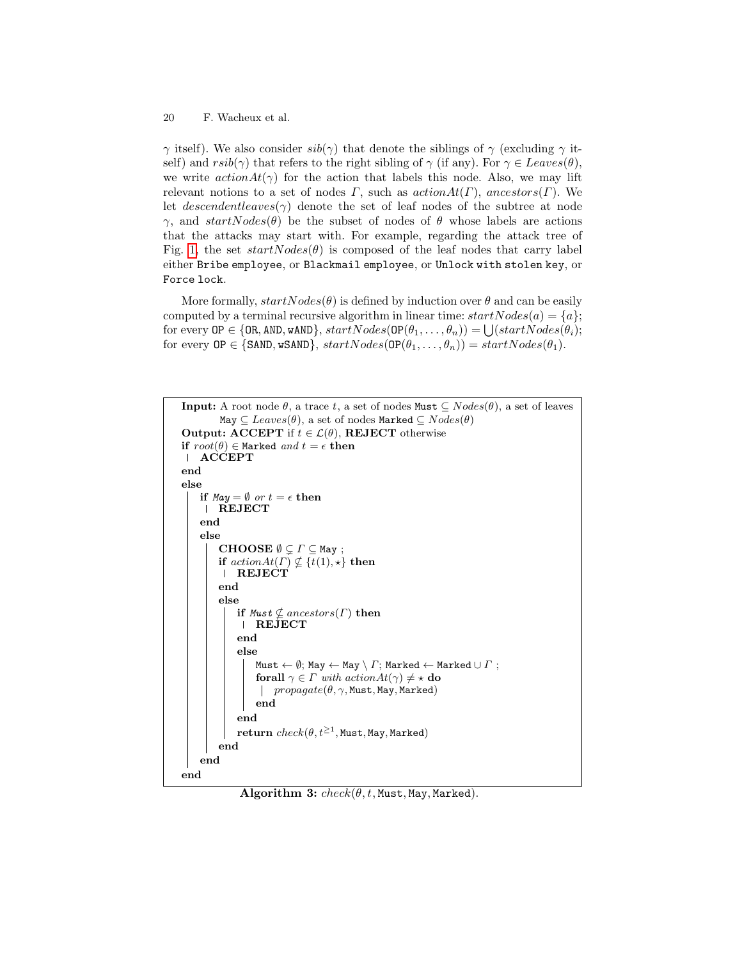$\gamma$  itself). We also consider  $sib(\gamma)$  that denote the siblings of  $\gamma$  (excluding  $\gamma$  itself) and  $rsib(\gamma)$  that refers to the right sibling of  $\gamma$  (if any). For  $\gamma \in Leaves(\theta)$ , we write  $actionAt(\gamma)$  for the action that labels this node. Also, we may lift relevant notions to a set of nodes  $\Gamma$ , such as  $actionAt(\Gamma)$ , ancestors(Γ). We let descendentleaves( $\gamma$ ) denote the set of leaf nodes of the subtree at node γ, and  $startNodes(\theta)$  be the subset of nodes of  $\theta$  whose labels are actions that the attacks may start with. For example, regarding the attack tree of Fig. [1,](#page-5-1) the set  $startNodes(\theta)$  is composed of the leaf nodes that carry label either Bribe employee, or Blackmail employee, or Unlock with stolen key, or Force lock.

More formally,  $startNodes(\theta)$  is defined by induction over  $\theta$  and can be easily computed by a terminal recursive algorithm in linear time:  $startNodes(a) = \{a\};$ for every OP  $\in$  {OR, AND, wAND},  $startNodes(\texttt{OP}(\theta_1, ..., \theta_n)) = \bigcup (startNodes(\theta_i);$ for every  $\mathsf{OP} \in \{\texttt{SAND}, \texttt{wSAND}\}, \text{startNodes}(\mathsf{OP}(\theta_1, \ldots, \theta_n)) = \text{startNodes}(\theta_1).$ 

```
Input: A root node \theta, a trace t, a set of nodes Must \subseteq Nodes(\theta), a set of leaves
           May \subseteq Leaves(\theta), a set of nodes Marked \subseteq Nodes(\theta)Output: ACCEPT if t \in \mathcal{L}(\theta), REJECT otherwise
if root(\theta) \in Marked and t = \epsilon then
 ACCEPT
end
else
     if May = \emptyset or t = \epsilon then
      REJECT
     end
     else
          CHOOSE \emptyset \subsetneq \Gamma \subseteq May ;
          if actionAt(\Gamma) \nsubseteq \{t(1), \star\} then
           REJECT
          end
          else
               if Must \nsubseteq ancestors(Γ) then
                REJECT
               end
                else
                     Must \leftarrow \emptyset; May \leftarrow May \setminus \Gamma; Marked \leftarrow Marked \cup \Gamma;
                     forall \gamma \in \Gamma with actionAt(\gamma) \neq \star do
                      | propagate(\theta, \gamma, \text{Must}, \text{May}, \text{Marked})end
                end
                \textbf{return}~check(\theta, t^{\geq 1}, \texttt{Must}, \texttt{May}, \texttt{Marked})end
     end
end
```
Algorithm 3:  $check(\theta, t, \text{Must}, \text{May}, \text{Marked}).$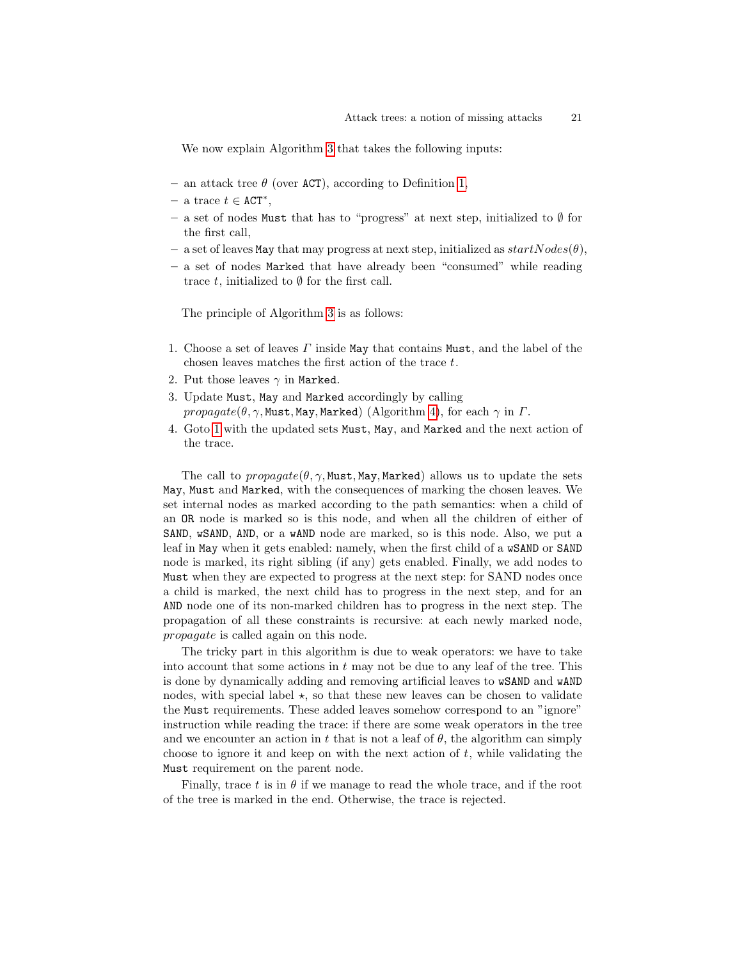We now explain Algorithm [3](#page-19-0) that takes the following inputs:

- an attack tree  $\theta$  (over ACT), according to Definition [1,](#page-5-2)
- $-$  a trace  $t \in$  ACT<sup>\*</sup>,
- a set of nodes Must that has to "progress" at next step, initialized to ∅ for the first call,
- a set of leaves May that may progress at next step, initialized as  $startNodes(\theta)$ ,
- a set of nodes Marked that have already been "consumed" while reading trace t, initialized to  $\emptyset$  for the first call.

The principle of Algorithm [3](#page-19-0) is as follows:

- <span id="page-20-0"></span>1. Choose a set of leaves Γ inside May that contains Must, and the label of the chosen leaves matches the first action of the trace t.
- 2. Put those leaves  $\gamma$  in Marked.
- 3. Update Must, May and Marked accordingly by calling propagate( $\theta$ ,  $\gamma$ , Must, May, Marked) (Algorithm [4\)](#page-21-0), for each  $\gamma$  in  $\Gamma$ .
- 4. Goto [1](#page-20-0) with the updated sets Must, May, and Marked and the next action of the trace.

The call to *propagate*( $\theta$ ,  $\gamma$ , Must, May, Marked) allows us to update the sets May, Must and Marked, with the consequences of marking the chosen leaves. We set internal nodes as marked according to the path semantics: when a child of an OR node is marked so is this node, and when all the children of either of SAND, wSAND, AND, or a wAND node are marked, so is this node. Also, we put a leaf in May when it gets enabled: namely, when the first child of a wSAND or SAND node is marked, its right sibling (if any) gets enabled. Finally, we add nodes to Must when they are expected to progress at the next step: for SAND nodes once a child is marked, the next child has to progress in the next step, and for an AND node one of its non-marked children has to progress in the next step. The propagation of all these constraints is recursive: at each newly marked node, propagate is called again on this node.

The tricky part in this algorithm is due to weak operators: we have to take into account that some actions in  $t$  may not be due to any leaf of the tree. This is done by dynamically adding and removing artificial leaves to wSAND and wAND nodes, with special label  $\star$ , so that these new leaves can be chosen to validate the Must requirements. These added leaves somehow correspond to an "ignore" instruction while reading the trace: if there are some weak operators in the tree and we encounter an action in t that is not a leaf of  $\theta$ , the algorithm can simply choose to ignore it and keep on with the next action of  $t$ , while validating the Must requirement on the parent node.

Finally, trace t is in  $\theta$  if we manage to read the whole trace, and if the root of the tree is marked in the end. Otherwise, the trace is rejected.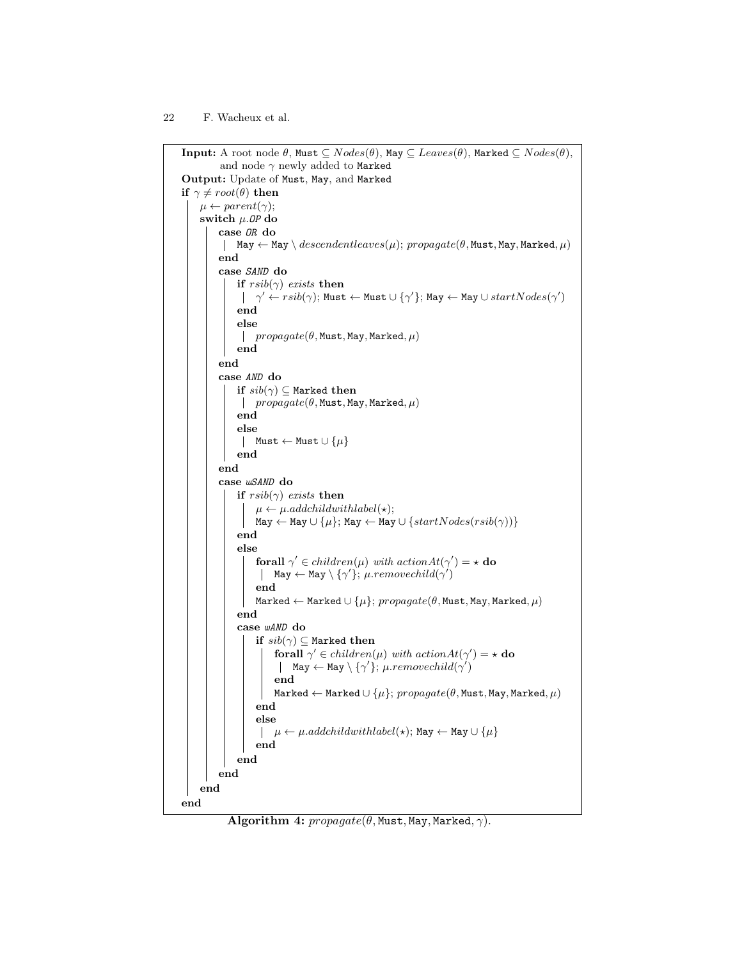<span id="page-21-0"></span>**Input:** A root node  $\theta$ , Must  $\subseteq Nodes(\theta)$ , May  $\subseteq Leaves(\theta)$ , Marked  $\subseteq Nodes(\theta)$ , and node  $\gamma$  newly added to Marked Output: Update of Must, May, and Marked if  $\gamma \neq root(\theta)$  then  $\mu \leftarrow parent(\gamma);$ switch  $\mu$ . OP do case OR do May  $\leftarrow$  May  $\setminus$  descendent leaves( $\mu$ ); propagate( $\theta$ , Must, May, Marked,  $\mu$ ) end case SAND do if  $rsib(\gamma)$  exists then  $\gamma' \leftarrow r s i b(\gamma);$  Must  $\leftarrow$  Must  $\cup$   $\{\gamma'\};$  May  $\leftarrow$  May  $\cup$   $startNodes(\gamma')$ end else  $\vert$  propagate( $\theta$ , Must, May, Marked,  $\mu$ ) end end case AND do if  $sib(\gamma)$   $\subset$  Marked then |  $propagate(\theta, \text{Must}, \text{May}, \text{Marked}, \mu)$ end else | Must ← Must  $\cup \{\mu\}$ end end case wSAND do if  $rsib(\gamma)$  exists then  $\mu \leftarrow \mu.addchildwithlabel(\star);$ May ← May  $\cup$  { $\mu$ }; May ← May  $\cup$  { $startNodes(rsib(\gamma))$ } end else forall  $\gamma' \in children(\mu)$  with  $actionAt(\gamma') = \star$  do  $\mathtt{May} \leftarrow \mathtt{May} \setminus \{\gamma'\}; \ \mu.removechild(\gamma')$ end Marked ← Marked  $\cup \{\mu\}$ ;  $propagate(\theta, \text{Must}, \text{May}, \text{Marked}, \mu)$ end case wAND do if  $sib(\gamma) \subseteq$  Marked then forall  $\gamma' \in children(\mu)$  with  $actionAt(\gamma') = \star$  do  $\mathtt{May} \leftarrow \mathtt{May} \setminus \{\gamma'\}; \ \mu.\mathit{removechild}(\gamma')$ end Marked ← Marked  $\cup \{\mu\}$ ; propagate( $\theta$ , Must, May, Marked,  $\mu$ ) end else |  $\mu \leftarrow \mu.addchildwithlabel(*)$ ; May ← May ∪ { $\mu$ } end end end end end

Algorithm 4:  $propagate(\theta, \text{Must}, \text{May}, \text{Marked}, \gamma)$ .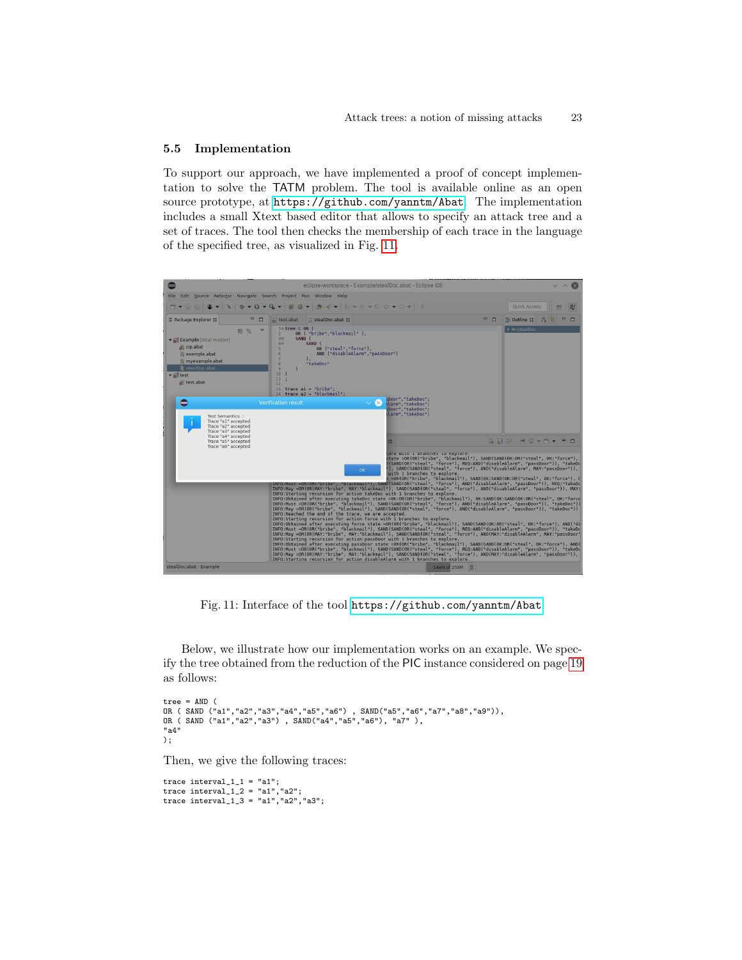#### <span id="page-22-0"></span>5.5 Implementation

To support our approach, we have implemented a proof of concept implementation to solve the TATM problem. The tool is available online as an open source prototype, at <https://github.com/yanntm/Abat>. The implementation includes a small Xtext based editor that allows to specify an attack tree and a set of traces. The tool then checks the membership of each trace in the language of the specified tree, as visualized in Fig. [11.](#page-22-1)

<span id="page-22-1"></span>

Fig. 11: Interface of the tool <https://github.com/yanntm/Abat>.

Below, we illustrate how our implementation works on an example. We specify the tree obtained from the reduction of the PIC instance considered on page [19](#page-18-2) as follows:

```
tree = AND (
OR ( SAND ("a1","a2","a3","a4","a5","a6") , SAND("a5","a6","a7","a8","a9")),
OR ( SAND ("a1","a2","a3") , SAND("a4","a5","a6"), "a7" ),
"a4
);
```
Then, we give the following traces:

```
trace interval_1_1 = "a1";
trace interval_1_2 = "a1","a2";
trace interval_1_3 = "a1","a2","a3";
```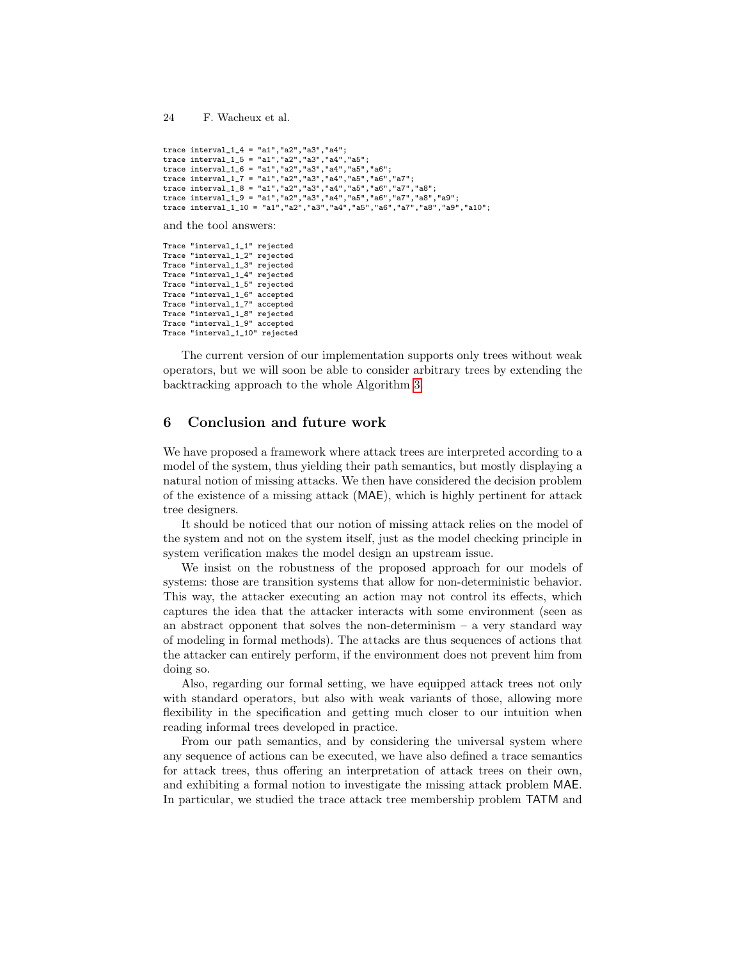```
trace interval_1_4 = "a1","a2","a3","a4";<br>
trace interval_1_5 = "a1","a2","a3","a4","a5";<br>
trace interval_1_6 = "a1","a2","a3","a4","a5","a6";<br>
trace interval_1_7 = "a1","a2","a3","a4","a5","a6","a7";<br>
trace interval_1_7 
and the tool answers:
Trace "interval_1_1" rejected
Trace "interval_1_2" rejected
```
Trace "interval\_1\_3" rejected Trace "interval\_1\_4" rejected Trace "interval\_1\_5" rejected Trace "interval\_1\_6" accepted Trace "interval\_1\_7" accepted Trace "interval\_1\_8" rejected Trace "interval\_1\_9" accepted Trace "interval\_1\_10" rejected

The current version of our implementation supports only trees without weak operators, but we will soon be able to consider arbitrary trees by extending the backtracking approach to the whole Algorithm [3.](#page-19-0)

# <span id="page-23-0"></span>6 Conclusion and future work

We have proposed a framework where attack trees are interpreted according to a model of the system, thus yielding their path semantics, but mostly displaying a natural notion of missing attacks. We then have considered the decision problem of the existence of a missing attack (MAE), which is highly pertinent for attack tree designers.

It should be noticed that our notion of missing attack relies on the model of the system and not on the system itself, just as the model checking principle in system verification makes the model design an upstream issue.

We insist on the robustness of the proposed approach for our models of systems: those are transition systems that allow for non-deterministic behavior. This way, the attacker executing an action may not control its effects, which captures the idea that the attacker interacts with some environment (seen as an abstract opponent that solves the non-determinism  $-$  a very standard way of modeling in formal methods). The attacks are thus sequences of actions that the attacker can entirely perform, if the environment does not prevent him from doing so.

Also, regarding our formal setting, we have equipped attack trees not only with standard operators, but also with weak variants of those, allowing more flexibility in the specification and getting much closer to our intuition when reading informal trees developed in practice.

From our path semantics, and by considering the universal system where any sequence of actions can be executed, we have also defined a trace semantics for attack trees, thus offering an interpretation of attack trees on their own, and exhibiting a formal notion to investigate the missing attack problem MAE. In particular, we studied the trace attack tree membership problem TATM and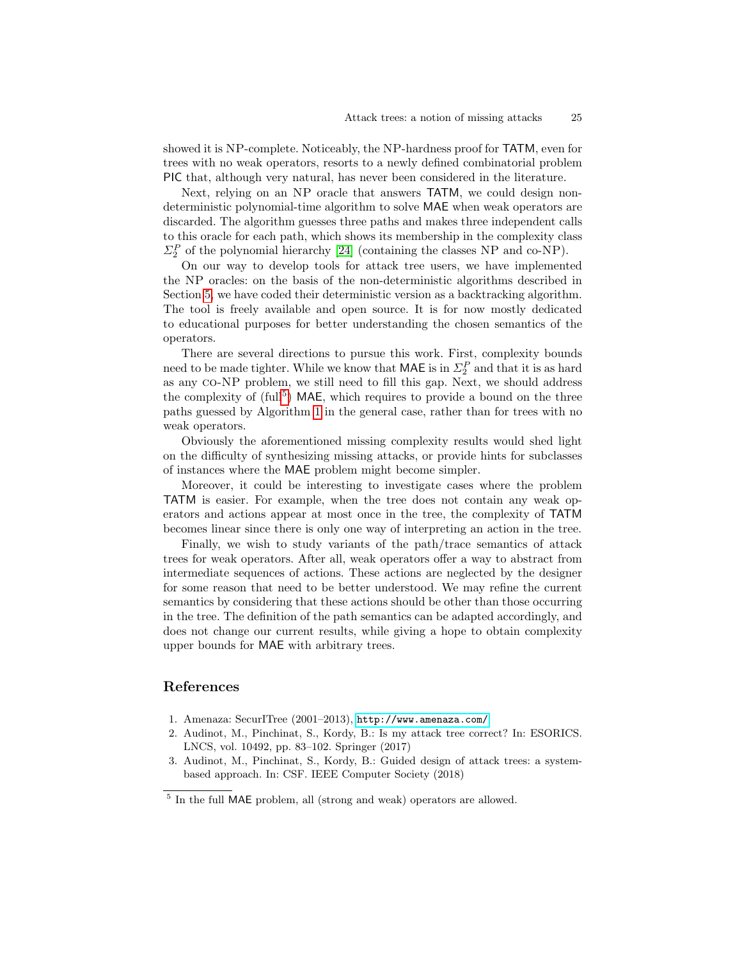showed it is NP-complete. Noticeably, the NP-hardness proof for TATM, even for trees with no weak operators, resorts to a newly defined combinatorial problem PIC that, although very natural, has never been considered in the literature.

Next, relying on an NP oracle that answers TATM, we could design nondeterministic polynomial-time algorithm to solve MAE when weak operators are discarded. The algorithm guesses three paths and makes three independent calls to this oracle for each path, which shows its membership in the complexity class  $\Sigma_2^P$  of the polynomial hierarchy [\[24\]](#page-26-3) (containing the classes NP and co-NP).

On our way to develop tools for attack tree users, we have implemented the NP oracles: on the basis of the non-deterministic algorithms described in Section [5,](#page-13-0) we have coded their deterministic version as a backtracking algorithm. The tool is freely available and open source. It is for now mostly dedicated to educational purposes for better understanding the chosen semantics of the operators.

There are several directions to pursue this work. First, complexity bounds need to be made tighter. While we know that  $\mathsf{MAE}$  is in  $\Sigma_2^P$  and that it is as hard as any co-NP problem, we still need to fill this gap. Next, we should address the complexity of (full<sup>[5](#page-24-3)</sup>) MAE, which requires to provide a bound on the three paths guessed by Algorithm [1](#page-15-0) in the general case, rather than for trees with no weak operators.

Obviously the aforementioned missing complexity results would shed light on the difficulty of synthesizing missing attacks, or provide hints for subclasses of instances where the MAE problem might become simpler.

Moreover, it could be interesting to investigate cases where the problem TATM is easier. For example, when the tree does not contain any weak operators and actions appear at most once in the tree, the complexity of TATM becomes linear since there is only one way of interpreting an action in the tree.

Finally, we wish to study variants of the path/trace semantics of attack trees for weak operators. After all, weak operators offer a way to abstract from intermediate sequences of actions. These actions are neglected by the designer for some reason that need to be better understood. We may refine the current semantics by considering that these actions should be other than those occurring in the tree. The definition of the path semantics can be adapted accordingly, and does not change our current results, while giving a hope to obtain complexity upper bounds for MAE with arbitrary trees.

# References

- <span id="page-24-0"></span>1. Amenaza: SecurITree (2001–2013), <http://www.amenaza.com/>
- <span id="page-24-2"></span>2. Audinot, M., Pinchinat, S., Kordy, B.: Is my attack tree correct? In: ESORICS. LNCS, vol. 10492, pp. 83–102. Springer (2017)
- <span id="page-24-1"></span>3. Audinot, M., Pinchinat, S., Kordy, B.: Guided design of attack trees: a systembased approach. In: CSF. IEEE Computer Society (2018)

<span id="page-24-3"></span><sup>5</sup> In the full MAE problem, all (strong and weak) operators are allowed.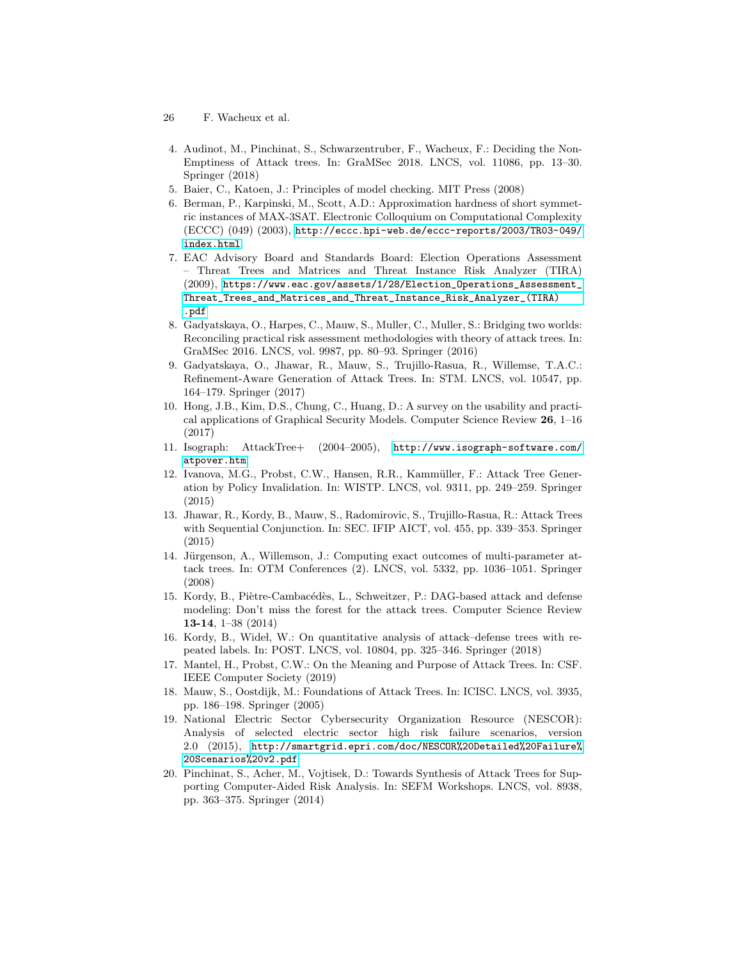- 26 F. Wacheux et al.
- <span id="page-25-13"></span>4. Audinot, M., Pinchinat, S., Schwarzentruber, F., Wacheux, F.: Deciding the Non-Emptiness of Attack trees. In: GraMSec 2018. LNCS, vol. 11086, pp. 13–30. Springer (2018)
- <span id="page-25-15"></span>5. Baier, C., Katoen, J.: Principles of model checking. MIT Press (2008)
- <span id="page-25-16"></span>6. Berman, P., Karpinski, M., Scott, A.D.: Approximation hardness of short symmetric instances of MAX-3SAT. Electronic Colloquium on Computational Complexity (ECCC) (049) (2003), [http://eccc.hpi-web.de/eccc-reports/2003/TR03-049/](http://eccc.hpi-web.de/eccc-reports/2003/TR03-049/index.html) [index.html](http://eccc.hpi-web.de/eccc-reports/2003/TR03-049/index.html)
- <span id="page-25-0"></span>7. EAC Advisory Board and Standards Board: Election Operations Assessment – Threat Trees and Matrices and Threat Instance Risk Analyzer (TIRA) (2009), [https://www.eac.gov/assets/1/28/Election\\_Operations\\_Assessment\\_](https://www.eac.gov/assets/1/28/Election_Operations_Assessment_Threat_Trees_and_Matrices_and_Threat_Instance_Risk_Analyzer_(TIRA).pdf) [Threat\\_Trees\\_and\\_Matrices\\_and\\_Threat\\_Instance\\_Risk\\_Analyzer\\_\(TIRA\)](https://www.eac.gov/assets/1/28/Election_Operations_Assessment_Threat_Trees_and_Matrices_and_Threat_Instance_Risk_Analyzer_(TIRA).pdf) [.pdf](https://www.eac.gov/assets/1/28/Election_Operations_Assessment_Threat_Trees_and_Matrices_and_Threat_Instance_Risk_Analyzer_(TIRA).pdf)
- <span id="page-25-3"></span>8. Gadyatskaya, O., Harpes, C., Mauw, S., Muller, C., Muller, S.: Bridging two worlds: Reconciling practical risk assessment methodologies with theory of attack trees. In: GraMSec 2016. LNCS, vol. 9987, pp. 80–93. Springer (2016)
- <span id="page-25-10"></span>9. Gadyatskaya, O., Jhawar, R., Mauw, S., Trujillo-Rasua, R., Willemse, T.A.C.: Refinement-Aware Generation of Attack Trees. In: STM. LNCS, vol. 10547, pp. 164–179. Springer (2017)
- <span id="page-25-5"></span>10. Hong, J.B., Kim, D.S., Chung, C., Huang, D.: A survey on the usability and practical applications of Graphical Security Models. Computer Science Review 26, 1–16 (2017)
- <span id="page-25-2"></span>11. Isograph: AttackTree+ (2004–2005), [http://www.isograph-software.com/](http://www.isograph-software.com/atpover.htm) [atpover.htm](http://www.isograph-software.com/atpover.htm)
- <span id="page-25-11"></span>12. Ivanova, M.G., Probst, C.W., Hansen, R.R., Kammüller, F.: Attack Tree Generation by Policy Invalidation. In: WISTP. LNCS, vol. 9311, pp. 249–259. Springer (2015)
- <span id="page-25-9"></span>13. Jhawar, R., Kordy, B., Mauw, S., Radomirovic, S., Trujillo-Rasua, R.: Attack Trees with Sequential Conjunction. In: SEC. IFIP AICT, vol. 455, pp. 339–353. Springer (2015)
- <span id="page-25-8"></span>14. Jürgenson, A., Willemson, J.: Computing exact outcomes of multi-parameter attack trees. In: OTM Conferences (2). LNCS, vol. 5332, pp. 1036–1051. Springer (2008)
- <span id="page-25-4"></span>15. Kordy, B., Piètre-Cambacédès, L., Schweitzer, P.: DAG-based attack and defense modeling: Don't miss the forest for the attack trees. Computer Science Review 13-14, 1–38 (2014)
- <span id="page-25-7"></span>16. Kordy, B., Widel, W.: On quantitative analysis of attack–defense trees with repeated labels. In: POST. LNCS, vol. 10804, pp. 325–346. Springer (2018)
- <span id="page-25-14"></span>17. Mantel, H., Probst, C.W.: On the Meaning and Purpose of Attack Trees. In: CSF. IEEE Computer Society (2019)
- <span id="page-25-6"></span>18. Mauw, S., Oostdijk, M.: Foundations of Attack Trees. In: ICISC. LNCS, vol. 3935, pp. 186–198. Springer (2005)
- <span id="page-25-1"></span>19. National Electric Sector Cybersecurity Organization Resource (NESCOR): Analysis of selected electric sector high risk failure scenarios, version 2.0 (2015), [http://smartgrid.epri.com/doc/NESCOR%20Detailed%20Failure%](http://smartgrid.epri.com/doc/NESCOR%20Detailed%20Failure%20Scenarios%20v2.pdf) [20Scenarios%20v2.pdf](http://smartgrid.epri.com/doc/NESCOR%20Detailed%20Failure%20Scenarios%20v2.pdf)
- <span id="page-25-12"></span>20. Pinchinat, S., Acher, M., Vojtisek, D.: Towards Synthesis of Attack Trees for Supporting Computer-Aided Risk Analysis. In: SEFM Workshops. LNCS, vol. 8938, pp. 363–375. Springer (2014)